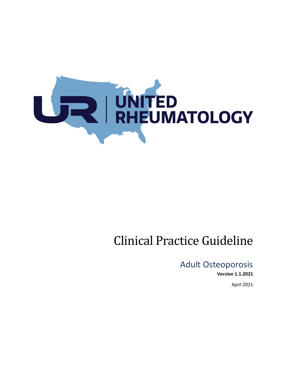

# Clinical Practice Guideline

# Adult Osteoporosis

**Version 1.1.2021**

April 2021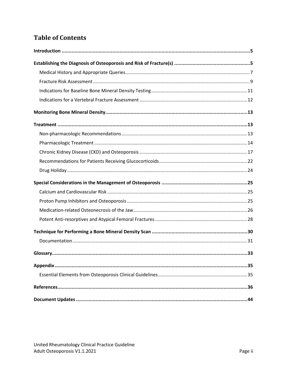# **Table of Contents**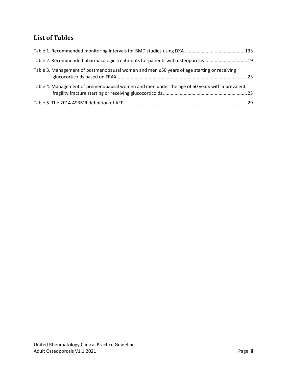# **List of Tables**

| Table 2. Recommended pharmacologic treatments for patients with osteoporosis19                |  |
|-----------------------------------------------------------------------------------------------|--|
| Table 3. Management of postmenopausal women and men ≥50 years of age starting or receiving    |  |
| Table 4. Management of premenopausal women and men under the age of 50 years with a prevalent |  |
|                                                                                               |  |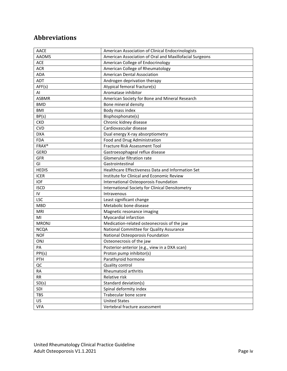# **Abbreviations**

| <b>AACE</b>  | American Association of Clinical Endocrinologists       |
|--------------|---------------------------------------------------------|
| <b>AAOMS</b> | American Association of Oral and Maxillofacial Surgeons |
| <b>ACE</b>   | American College of Endocrinology                       |
| <b>ACR</b>   | American College of Rheumatology                        |
| ADA          | American Dental Association                             |
| ADT          | Androgen deprivation therapy                            |
| AFF(s)       | Atypical femoral fracture(s)                            |
| AI           | Aromatase inhibitor                                     |
| <b>ASBMR</b> | American Society for Bone and Mineral Research          |
| <b>BMD</b>   | Bone mineral density                                    |
| <b>BMI</b>   | Body mass index                                         |
| BP(s)        | Bisphosphonate(s)                                       |
| <b>CKD</b>   | Chronic kidney disease                                  |
| <b>CVD</b>   | Cardiovascular disease                                  |
| <b>DXA</b>   | Dual energy X-ray absorptiometry                        |
| <b>FDA</b>   | Food and Drug Administration                            |
| <b>FRAX®</b> | Fracture Risk Assessment Tool                           |
| <b>GERD</b>  | Gastroesophageal reflux disease                         |
| <b>GFR</b>   | Glomerular filtration rate                              |
| GI           | Gastrointestinal                                        |
| <b>HEDIS</b> | Healthcare Effectiveness Data and Information Set       |
| <b>ICER</b>  | Institute for Clinical and Economic Review              |
| <b>IOF</b>   | International Osteoporosis Foundation                   |
| <b>ISCD</b>  | International Society for Clinical Densitometry         |
| ${\sf IV}$   | Intravenous                                             |
| <b>LSC</b>   | Least significant change                                |
| <b>MBD</b>   | Metabolic bone disease                                  |
| MRI          | Magnetic resonance imaging                              |
| MI           | Myocardial infarction                                   |
| <b>MRONJ</b> | Medication-related osteonecrosis of the jaw             |
| <b>NCQA</b>  | National Committee for Quality Assurance                |
| <b>NOF</b>   | National Osteoporosis Foundation                        |
| ONJ          | Osteonecrosis of the jaw                                |
| PA           | Posterior-anterior (e.g., view in a DXA scan)           |
| PPI(s)       | Proton pump inhibitor(s)                                |
| PTH          | Parathyroid hormone                                     |
| QC           | Quality control                                         |
| RA           | Rheumatoid arthritis                                    |
| RR           | Relative risk                                           |
| SD(s)        | Standard deviation(s)                                   |
| SDI          | Spinal deformity index                                  |
| <b>TBS</b>   | Trabecular bone score                                   |
| US.          | <b>United States</b>                                    |
| <b>VFA</b>   | Vertebral fracture assessment                           |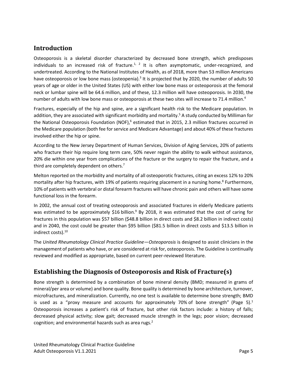## <span id="page-4-0"></span>**Introduction**

Osteoporosis is a skeletal disorder characterized by decreased bone strength, which predisposes individuals to an increased risk of fracture.<sup>1, 2</sup> It is often asymptomatic, under-recognized, and undertreated. According to the National Institutes of Health, as of 2018, more than 53 million Americans have osteoporosis or low bone mass (osteopenia).<sup>3</sup> It is projected that by 2020, the number of adults 50 years of age or older in the United States (US) with either low bone mass or osteoporosis at the femoral neck or lumbar spine will be 64.6 million, and of these, 12.3 million will have osteoporosis. In 2030, the number of adults with low bone mass or osteoporosis at these two sites will increase to 71.4 million.<sup>4</sup>

Fractures, especially of the hip and spine, are a significant health risk to the Medicare population. In addition, they are associated with significant morbidity and mortality. <sup>5</sup> A study conducted by Milliman for the National Osteoporosis Foundation (NOF),<sup>6</sup> estimated that in 2015, 2.3 million fractures occurred in the Medicare population (both fee for service and Medicare Advantage) and about 40% of these fractures involved either the hip or spine.

According to the New Jersey Department of Human Services, Division of Aging Services, 20% of patients who fracture their hip require long term care, 50% never regain the ability to walk without assistance, 20% die within one year from complications of the fracture or the surgery to repair the fracture, and a third are completely dependent on others.<sup>7</sup>

Melton reported on the morbidity and mortality of all osteoporotic fractures, citing an excess 12% to 20% mortality after hip fractures, with 19% of patients requiring placement in a nursing home.<sup>8</sup> Furthermore, 10% of patients with vertebral or distal forearm fractures will have chronic pain and others will have some functional loss in the forearm.

In 2002, the annual cost of treating osteoporosis and associated fractures in elderly Medicare patients was estimated to be approximately \$16 billion.<sup>9</sup> By 2018, it was estimated that the cost of caring for fractures in this population was \$57 billion (\$48.8 billion in direct costs and \$8.2 billion in indirect costs) and in 2040, the cost could be greater than \$95 billion (\$81.5 billion in direct costs and \$13.5 billion in indirect costs). 10

The *United Rheumatology Clinical Practice Guideline—Osteoporosis* is designed to assist clinicians in the management of patients who have, or are considered at risk for, osteoporosis. The Guideline is continually reviewed and modified as appropriate, based on current peer-reviewed literature.

## <span id="page-4-1"></span>**Establishing the Diagnosis of Osteoporosis and Risk of Fracture(s)**

Bone strength is determined by a combination of bone mineral density (BMD; measured in grams of mineral/per area or volume) and bone quality. Bone quality is determined by bone architecture, turnover, microfractures, and mineralization. Currently, no one test is available to determine bone strength; BMD is used as a "proxy measure and accounts for approximately 70% of bone strength" (Page 5). $<sup>1</sup>$ </sup> Osteoporosis increases a patient's risk of fracture, but other risk factors include: a history of falls; decreased physical activity; slow gait; decreased muscle strength in the legs; poor vision; decreased cognition; and environmental hazards such as area rugs. $2<sup>2</sup>$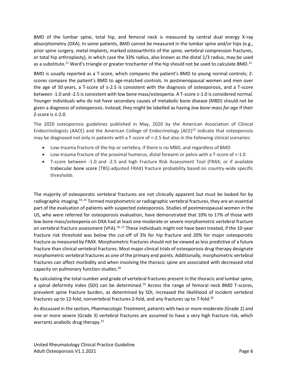BMD of the lumbar spine, total hip, and femoral neck is measured by central dual energy X-ray absorptiometry (DXA). In some patients, BMD cannot be measured in the lumbar spine and/or hips (e.g., prior spine surgery, metal implants, marked osteoarthritis of the spine, vertebral compression fractures, or total hip arthroplasty), in which case the 33% radius, also known as the distal 1/3 radius, may be used as a substitute.<sup>11</sup> Ward's triangle or greater trochanter of the hip should not be used to calculate BMD.<sup>12</sup>

BMD is usually reported as a T-score, which compares the patient's BMD to young normal controls; Zscores compare the patient's BMD to age-matched controls. In postmenopausal women and men over the age of 50 years, a T-score of ≤-2.5 is consistent with the diagnosis of osteoporosis, and a T-score between -1.0 and -2.5 is consistent with low bone mass/osteopenia. A T-score ≥-1.0 is considered normal. Younger individuals who do not have secondary causes of metabolic bone disease (MBD) should not be given a diagnosis of osteoporosis. Instead, they might be labelled as having *low bone mass for age* if their Z-score is ≤-2.0.

The 2020 osteoporosis guidelines published in May, 2020 by the American Association of Clinical Endocrinologists (AACE) and the American College of Endocrinology (ACE)<sup>13</sup> indicate that osteoporosis may be diagnosed not only in patients with a T-score of <-2.5 but also in the following clinical scenarios:

- Low-trauma fracture of the hip or vertebra, if there is no MBD, and regardless of BMD
- Low-trauma fracture of the proximal humerus, distal forearm or pelvis with a T-score of <-1.0
- T-score between -1.0 and -2.5 and high Fracture Risk Assessment Tool (FRAX; or if available trabecular bone score [TBS]-adjusted FRAX) fracture probability based on country-wide specific thresholds

The majority of osteoporotic vertebral fractures are not clinically apparent but must be looked for by radiographic imaging.14, 15 Termed morphometric or radiographic vertebral fractures, they are an essential part of the evaluation of patients with suspected osteoporosis. Studies of postmenopausal women in the US, who were referred for osteoporosis evaluation, have demonstrated that 10% to 17% of those with low bone mass/osteopenia on DXA had at least one moderate or severe morphometric vertebral fracture on vertebral fracture assessment (VFA).<sup>16, 17</sup> These individuals might not have been treated, if the 10-year fracture risk threshold was below the cut-off of 3% for hip fracture and 20% for major osteoporotic fracture as measured by FRAX. Morphometric fractures should not be viewed as less predictive of a future fracture than clinical vertebral fractures. Most major clinical trials of osteoporosis drug therapy designate morphometric vertebral fractures as one of the primary end points. Additionally, morphometric vertebral fractures can affect morbidity and when involving the thoracic spine are associated with decreased vital capacity on pulmonary function studies.<sup>18</sup>

By calculating the total number and grade of vertebral fractures present in the thoracic and lumbar spine, a spinal deformity index (SDI) can be determined.<sup>19</sup> Across the range of femoral neck BMD T-scores, prevalent spine fracture burden, as determined by SDI, increased the likelihood of incident vertebral fractures up to 12-fold, nonvertebral fractures 2-fold, and any fractures up to 7-fold.<sup>20</sup>

As discussed in the section, *Pharmacologic Treatment*, patients with two or more moderate (Grade 2) and one or more severe (Grade 3) vertebral fractures are assumed to have a very high fracture risk, which warrants anabolic drug therapy. $21$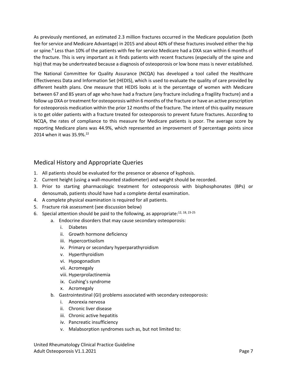As previously mentioned, an estimated 2.3 million fractures occurred in the Medicare population (both fee for service and Medicare Advantage) in 2015 and about 40% of these fractures involved either the hip or spine.<sup>6</sup> Less than 10% of the patients with fee for service Medicare had a DXA scan within 6 months of the fracture. This is very important as it finds patients with recent fractures (especially of the spine and hip) that may be undertreated because a diagnosis of osteoporosis or low bone mass is never established.

The National Committee for Quality Assurance (NCQA) has developed a tool called the Healthcare Effectiveness Data and Information Set (HEDIS), which is used to evaluate the quality of care provided by different health plans. One measure that HEDIS looks at is the percentage of women with Medicare between 67 and 85 years of age who have had a fracture (any fracture including a fragility fracture) and a follow up DXA or treatment for osteoporosis within 6 months of the fracture or have an active prescription for osteoporosis medication within the prior 12 months of the fracture. The intent of this quality measure is to get older patients with a fracture treated for osteoporosis to prevent future fractures. According to NCQA, the rates of compliance to this measure for Medicare patients is poor. The average score by reporting Medicare plans was 44.9%, which represented an improvement of 9 percentage points since 2014 when it was 35.9%. 22

#### <span id="page-6-0"></span>Medical History and Appropriate Queries

- 1. All patients should be evaluated for the presence or absence of kyphosis.
- 2. Current height (using a wall-mounted stadiometer) and weight should be recorded.
- 3. Prior to starting pharmacologic treatment for osteoporosis with bisphosphonates (BPs) or denosumab, patients should have had a complete dental examination.
- 4. A complete physical examination is required for all patients.
- 5. Fracture risk assessment (see discussion below)
- 6. Special attention should be paid to the following, as appropriate: $^{12, 18, 23-25}$ 
	- a. Endocrine disorders that may cause secondary osteoporosis:
		- i. Diabetes
		- ii. Growth hormone deficiency
		- iii. Hypercortisolism
		- iv. Primary or secondary hyperparathyroidism
		- v. Hyperthyroidism
		- vi. Hypogonadism
		- vii. Acromegaly
		- viii. Hyperprolactinemia
		- ix. Cushing's syndrome
		- x. Acromegaly
	- b. Gastrointestinal (GI) problems associated with secondary osteoporosis:
		- i. Anorexia nervosa
		- ii. Chronic liver disease
		- iii. Chronic active hepatitis
		- iv. Pancreatic insufficiency
		- v. Malabsorption syndromes such as, but not limited to:

United Rheumatology Clinical Practice Guideline Adult Osteoporosis V1.1.2021 Page 7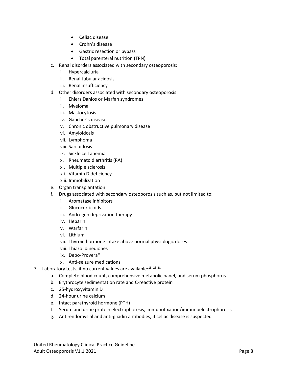- Celiac disease
- Crohn's disease
- Gastric resection or bypass
- Total parenteral nutrition (TPN)
- c. Renal disorders associated with secondary osteoporosis:
	- i. Hypercalciuria
	- ii. Renal tubular acidosis
	- iii. Renal insufficiency
- d. Other disorders associated with secondary osteoporosis:
	- i. Ehlers Danlos or Marfan syndromes
	- ii. Myeloma
	- iii. Mastocytosis
	- iv. Gaucher's disease
	- v. Chronic obstructive pulmonary disease
	- vi. Amyloidosis
	- vii. Lymphoma
	- viii. Sarcoidosis
	- ix. Sickle cell anemia
	- x. Rheumatoid arthritis (RA)
	- xi. Multiple sclerosis
	- xii. Vitamin D deficiency
	- xiii. Immobilization
- e. Organ transplantation
- f. Drugs associated with secondary osteoporosis such as, but not limited to:
	- i. Aromatase inhibitors
	- ii. Glucocorticoids
	- iii. Androgen deprivation therapy
	- iv. Heparin
	- v. Warfarin
	- vi. Lithium
	- vii. Thyroid hormone intake above normal physiologic doses
	- viii. Thiazolidinediones
	- ix. Depo-Provera®
	- x. Anti-seizure medications
- 7. Laboratory tests, if no current values are available: $18, 23-28$ 
	- a. Complete blood count, comprehensive metabolic panel, and serum phosphorus
	- b. Erythrocyte sedimentation rate and C-reactive protein
	- c. 25-hydroxyvitamin D
	- d. 24-hour urine calcium
	- e. Intact parathyroid hormone (PTH)
	- f. Serum and urine protein electrophoresis, immunofixation/immunoelectrophoresis
	- g. Anti-endomysial and anti-gliadin antibodies, if celiac disease is suspected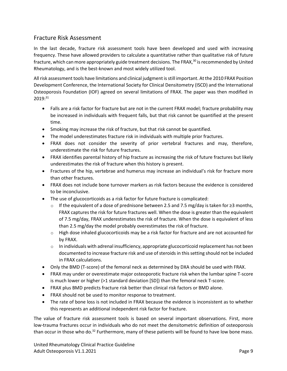#### <span id="page-8-0"></span>Fracture Risk Assessment

In the last decade, fracture risk assessment tools have been developed and used with increasing frequency. These have allowed providers to calculate a quantitative rather than qualitative risk of future fracture, which can more appropriately guide treatment decisions. The FRAX,<sup>30</sup> is recommended by United Rheumatology, and is the best-known and most widely utilized tool.

All risk assessment tools have limitations and clinical judgment is still important. At the 2010 FRAX Position Development Conference, the International Society for Clinical Densitometry (ISCD) and the International Osteoporosis Foundation (IOF) agreed on several limitations of FRAX. The paper was then modified in 2019:<sup>31</sup>

- Falls are a risk factor for fracture but are not in the current FRAX model; fracture probability may be increased in individuals with frequent falls, but that risk cannot be quantified at the present time.
- Smoking may increase the risk of fracture, but that risk cannot be quantified.
- The model underestimates fracture risk in individuals with multiple prior fractures.
- FRAX does not consider the severity of prior vertebral fractures and may, therefore, underestimate the risk for future fractures.
- FRAX identifies parental history of hip fracture as increasing the risk of future fractures but likely underestimates the risk of fracture when this history is present.
- Fractures of the hip, vertebrae and humerus may increase an individual's risk for fracture more than other fractures.
- FRAX does not include bone turnover markers as risk factors because the evidence is considered to be inconclusive.
- The use of glucocorticoids as a risk factor for future fracture is complicated:
	- o If the equivalent of a dose of prednisone between 2.5 and 7.5 mg/day is taken for ≥3 months, FRAX captures the risk for future fractures well. When the dose is greater than the equivalent of 7.5 mg/day, FRAX underestimates the risk of fracture. When the dose is equivalent of less than 2.5 mg/day the model probably overestimates the risk of fracture.
	- $\circ$  High dose inhaled glucocorticoids may be a risk factor for fracture and are not accounted for by FRAX.
	- $\circ$  In individuals with adrenal insufficiency, appropriate glucocorticoid replacement has not been documented to increase fracture risk and use of steroids in this setting should not be included in FRAX calculations.
- Only the BMD (T-score) of the femoral neck as determined by DXA should be used with FRAX.
- FRAX may under or overestimate major osteoporotic fracture risk when the lumbar spine T-score is much lower or higher (>1 standard deviation [SD]) than the femoral neck T-score.
- FRAX plus BMD predicts fracture risk better than clinical risk factors or BMD alone.
- FRAX should not be used to monitor response to treatment.
- The rate of bone loss is not included in FRAX because the evidence is inconsistent as to whether this represents an additional independent risk factor for fracture.

The value of fracture risk assessment tools is based on several important observations. First, more low-trauma fractures occur in individuals who do not meet the densitometric definition of osteoporosis than occur in those who do.<sup>32</sup> Furthermore, many of these patients will be found to have low bone mass.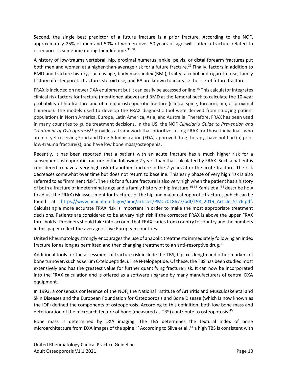Second, the single best predictor of a future fracture is a prior fracture. According to the NOF, approximately 25% of men and 50% of women over 50 years of age will suffer a fracture related to osteoporosis sometime during their lifetime.<sup>33, 34</sup>

A history of low-trauma vertebral, hip, proximal humerus, ankle, pelvis, or distal forearm fractures put both men and women at a higher-than-average risk for a future fracture.<sup>29</sup> Finally, factors in addition to BMD and fracture history, such as age, body mass index (BMI), frailty, alcohol and cigarette use, family history of osteoporotic fracture, steroid use, and RA are known to increase the risk of future fracture.

FRAX is included on newer DXA equipment but it can easily be accessed online.<sup>35</sup> This calculator integrates clinical risk factors for fracture (mentioned above) and BMD at th[e femoral neck](https://en.wikipedia.org/wiki/Femoral_neck) to calculate the 10-year probability of hip fracture and of a major [osteoporotic](https://en.wikipedia.org/wiki/Osteoporosis) fracture (clinical spine, forearm, hip, or proximal humerus). The models used to develop the FRAX diagnostic tool were derived from studying patient populations in North America, Europe, Latin America, Asia, and Australia. Therefore, FRAX has been used in many countries to guide treatment decisions. In the US, the NOF *Clinician's Guide to Prevention and Treatment of Osteoporosis<sup>36</sup>* provides a framework that prioritizes using FRAX for those individuals who are not yet receiving Food and Drug Administration (FDA)-approved drug therapy, have not had (a) prior low-trauma fracture(s), and have low bone mass/osteopenia.

Recently, it has been reported that a patient with an acute fracture has a much higher risk for a subsequent osteoporotic fracture in the following 2 years than that calculated by FRAX. Such a patient is considered to have a very high risk of another fracture in the 2 years after the acute fracture. The risk decreases somewhat over time but does not return to baseline. This early phase of very high risk is also referred to as "imminent risk". The risk for a future fracture is also very high when the patient has a history of both a fracture of indeterminate age and a family history of hip fracture.<sup>36-38</sup> Kanis et al.<sup>36</sup> describe how to adjust the FRAX risk assessment for fractures of the hip and major osteoporotic fractures, which can be found at [https://www.ncbi.nlm.nih.gov/pmc/articles/PMC7018677/pdf/198\\_2019\\_Article\\_5176.pdf.](https://www.ncbi.nlm.nih.gov/pmc/articles/PMC7018677/pdf/198_2019_Article_5176.pdf) Calculating a more accurate FRAX risk is important in order to make the most appropriate treatment decisions. Patients are considered to be at very high risk if the corrected FRAX is above the upper FRAX thresholds. Providers should take into account that FRAX varies from country to country and the numbers in this paper reflect the average of five European countries.

United Rheumatology strongly encourages the use of anabolic treatments immediately following an index fracture for as long as permitted and then changing treatment to an anti-resorptive drug.<sup>13</sup>

Additional tools for the assessment of fracture risk include the TBS, hip axis length and other markers of bone turnover, such as serum C-telopeptide, urine N-telopeptide. Of these, the TBS has been studied most extensively and has the greatest value for further quantifying fracture risk. It can now be incorporated into the FRAX calculation and is offered as a software upgrade by many manufacturers of central DXA equipment.

In 1993, a consensus conference of the NOF, the National Institute of Arthritis and Musculoskeletal and Skin Diseases and the European Foundation for Osteoporosis and Bone Disease (which is now known as the IOF) defined the components of osteoporosis. According to this definition, both low bone mass and deterioration of the microarchitecture of bone (measured as TBS) contribute to osteoporosis.<sup>40</sup>

Bone mass is determined by DXA imaging. The TBS determines the textural index of bone microarchitecture from DXA images of the spine.<sup>27</sup> According to Silva et al.,<sup>41</sup> a high TBS is consistent with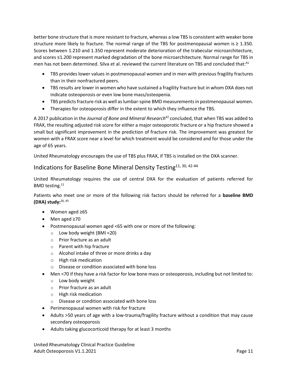better bone structure that is more resistant to fracture, whereas a low TBS is consistent with weaker bone structure more likely to fracture. The normal range of the TBS for postmenopausal women is  $\geq 1.350$ . Scores between 1.210 and 1.350 represent moderate deterioration of the trabecular microarchitecture, and scores ≤1.200 represent marked degradation of the bone microarchitecture. Normal range for TBS in men has not been determined. Silva et al. reviewed the current literature on TBS and concluded that:<sup>41</sup>

- TBS provides lower values in postmenopausal women and in men with previous fragility fractures than in their nonfractured peers.
- TBS results are lower in women who have sustained a fragility fracture but in whom DXA does not indicate osteoporosis or even low bone mass/osteopenia.
- TBS predicts fracture risk as well as lumbar-spine BMD measurements in postmenopausal women.
- Therapies for osteoporosis differ in the extent to which they influence the TBS.

A 2017 publication in the *Journal of Bone and Mineral Research*<sup>42</sup> concluded, that when TBS was added to FRAX, the resulting adjusted risk score for either a major osteoporotic fracture or a hip fracture showed a small but significant improvement in the prediction of fracture risk. The improvement was greatest for women with a FRAX score near a level for which treatment would be considered and for those under the age of 65 years.

United Rheumatology encourages the use of TBS plus FRAX, if TBS is installed on the DXA scanner.

# <span id="page-10-0"></span>Indications for Baseline Bone Mineral Density Testing<sup>11, 30, 42-44</sup>

United Rheumatology requires the use of central DXA for the evaluation of patients referred for BMD testing.<sup>11</sup>

Patients who meet one or more of the following risk factors should be referred for a **baseline BMD (DXA) study:** 26, 45

- Women aged ≥65
- Men aged ≥70
- Postmenopausal women aged <65 with one or more of the following:
	- o Low body weight (BMI <20)
	- o Prior fracture as an adult
	- o Parent with hip fracture
	- o Alcohol intake of three or more drinks a day
	- o High risk medication
	- o Disease or condition associated with bone loss
- Men <70 if they have a risk factor for low bone mass or osteoporosis, including but not limited to:
	- o Low body weight
	- o Prior fracture as an adult
	- o High risk medication
	- o Disease or condition associated with bone loss
- Perimenopausal women with risk for fracture
- Adults >50 years of age with a low-trauma/fragility fracture without a condition that may cause secondary osteoporosis
- Adults taking glucocorticoid therapy for at least 3 months

United Rheumatology Clinical Practice Guideline Adult Osteoporosis V1.1.2021 **Page 11**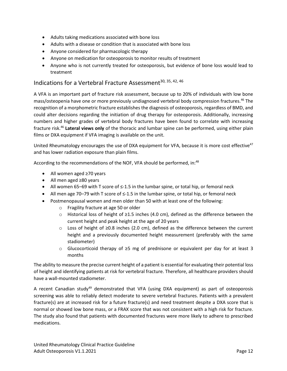- Adults taking medications associated with bone loss
- Adults with a disease or condition that is associated with bone loss
- Anyone considered for pharmacologic therapy
- Anyone on medication for osteoporosis to monitor results of treatment
- Anyone who is not currently treated for osteoporosis, but evidence of bone loss would lead to treatment

#### <span id="page-11-0"></span>Indications for a Vertebral Fracture Assessment<sup>30, 35, 42, 46</sup>

A VFA is an important part of fracture risk assessment, because up to 20% of individuals with low bone mass/osteopenia have one or more previously undiagnosed vertebral body compression fractures.<sup>46</sup> The recognition of a morphometric fracture establishes the diagnosis of osteoporosis, regardless of BMD, and could alter decisions regarding the initiation of drug therapy for osteoporosis. Additionally, increasing numbers and higher grades of vertebral body fractures have been found to correlate with increasing fracture risk.<sup>46</sup> **Lateral views only** of the thoracic and lumbar spine can be performed, using either plain films or DXA equipment if VFA imaging is available on the unit.

United Rheumatology encourages the use of DXA equipment for VFA, because it is more cost effective<sup>47</sup> and has lower radiation exposure than plain films.

According to the recommendations of the NOF, VFA should be performed, in:<sup>48</sup>

- All women aged ≥70 years
- All men aged ≥80 years
- All women 65–69 with T score of ≤-1.5 in the lumbar spine, or total hip, or femoral neck
- All men age 70–79 with T score of ≤-1.5 in the lumbar spine, or total hip, or femoral neck
- Postmenopausal women and men older than 50 with at least one of the following:
	- o Fragility fracture at age 50 or older
	- o Historical loss of height of ≥1.5 inches (4.0 cm), defined as the difference between the current height and peak height at the age of 20 years
	- o Loss of height of ≥0.8 inches (2.0 cm), defined as the difference between the current height and a previously documented height measurement (preferably with the same stadiometer)
	- o Glucocorticoid therapy of ≥5 mg of prednisone or equivalent per day for at least 3 months

The ability to measure the precise current height of a patient is essential for evaluating their potential loss of height and identifying patients at risk for vertebral fracture. Therefore, all healthcare providers should have a wall-mounted stadiometer.

A recent Canadian study<sup>49</sup> demonstrated that VFA (using DXA equipment) as part of osteoporosis screening was able to reliably detect moderate to severe vertebral fractures. Patients with a prevalent fracture(s) are at increased risk for a future fracture(s) and need treatment despite a DXA score that is normal or showed low bone mass, or a FRAX score that was not consistent with a high risk for fracture. The study also found that patients with documented fractures were more likely to adhere to prescribed medications.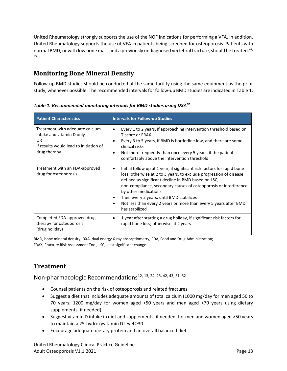United Rheumatology strongly supports the use of the NOF indications for performing a VFA. In addition, United Rheumatology supports the use of VFA in patients being screened for osteoporosis. Patients with normal BMD, or with low bone mass and a previously undiagnosed vertebral fracture, should be treated.<sup>47,</sup> 49

## <span id="page-12-0"></span>**Monitoring Bone Mineral Density**

Follow-up BMD studies should be conducted at the same facility using the same equipment as the prior study, whenever possible. The recommended intervals for follow-up BMD studies are indicated in [Table](#page-12-3) 1.

**Patient Characteristics Intervals for Follow-up Studies** Treatment with adequate calcium intake and vitamin D only OR If results would lead to initiation of drug therapy • Every 1 to 2 years, if approaching intervention threshold based on T-score or FRAX • Every 3 to 5 years, if BMD is borderline low, and there are some clinical risks • Not more frequently than once every 5 years, if the patient is comfortably above the intervention threshold Treatment with an FDA-approved drug for osteoporosis • Initial follow up at 1 year, if significant risk factors for rapid bone loss; otherwise at 2 to 3 years, to exclude progression of disease, defined as significant decline in BMD based on LSC, non-compliance, secondary causes of osteoporosis or interference by other medications • Then every 2 years, until BMD stabilizes • Not less than every 2 years or more than every 5 years after BMD has stabilized Completed FDA-approved drug therapy for osteoporosis (drug holiday) • 1 year after starting a drug holiday, if significant risk factors for rapid bone loss; otherwise at 2 years

<span id="page-12-3"></span>*Table 1. Recommended monitoring intervals for BMD studies using DXA<sup>50</sup>*

BMD, bone mineral density; DXA, dual energy X-ray absorptiometry; FDA, Food and Drug Administration; FRAX, Fracture Risk Assessment Tool; LSC, least significant change

## <span id="page-12-1"></span>**Treatment**

<span id="page-12-2"></span>Non-pharmacologic Recommendations<sup>12, 13, 24, 25, 42, 43, 51, 52</sup>

- Counsel patients on the risk of osteoporosis and related fractures.
- Suggest a diet that includes adequate amounts of total calcium (1000 mg/day for men aged 50 to 70 years; 1200 mg/day for women aged >50 years and men aged >70 years using dietary supplements, if needed).
- Suggest vitamin D intake in diet and supplements, if needed, for men and women aged >50 years to maintain a 25-hydroxyvitamin D level ≥30.
- Encourage adequate dietary protein and an overall balanced diet.

United Rheumatology Clinical Practice Guideline Adult Osteoporosis V1.1.2021 **Page 13**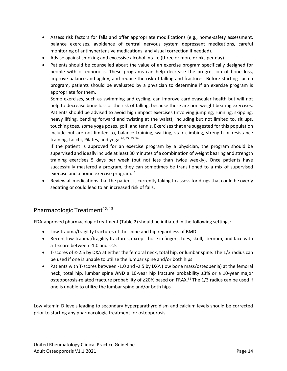- Assess risk factors for falls and offer appropriate modifications (e.g., home-safety assessment, balance exercises, avoidance of central nervous system depressant medications, careful monitoring of antihypertensive medications, and visual correction if needed).
- Advise against smoking and excessive alcohol intake (three or more drinks per day).
- Patients should be counselled about the value of an exercise program specifically designed for people with osteoporosis. These programs can help decrease the progression of bone loss, improve balance and agility, and reduce the risk of falling and fractures. Before starting such a program, patients should be evaluated by a physician to determine if an exercise program is appropriate for them.

Some exercises, such as swimming and cycling, can improve cardiovascular health but will not help to decrease bone loss or the risk of falling, because these are non-weight bearing exercises. Patients should be advised to avoid high impact exercises (involving jumping, running, skipping, heavy lifting, bending forward and twisting at the waist), including but not limited to, sit ups, touching toes, some yoga poses, golf, and tennis. Exercises that are suggested for this population include but are not limited to, balance training, walking, stair climbing, strength or resistance training, tai chi, Pilates, and yoga.<sup>26, 35, 53, 54</sup>

If the patient is approved for an exercise program by a physician, the program should be supervised and ideally include at least 30 minutes of a combination of weight bearing and strength training exercises 5 days per week (but not less than twice weekly). Once patients have successfully mastered a program, they can sometimes be transitioned to a mix of supervised exercise and a home exercise program.<sup>12</sup>

• Review all medications that the patient is currently taking to assess for drugs that could be overly sedating or could lead to an increased risk of falls.

#### <span id="page-13-1"></span><span id="page-13-0"></span>Pharmacologic Treatment<sup>12, 13</sup>

FDA-approved pharmacologic treatment [\(Table](#page-18-0) 2) should be initiated in the following settings:

- Low-trauma/fragility fractures of the spine and hip regardless of BMD
- Recent low-trauma/fragility fractures, except those in fingers, toes, skull, sternum, and face with a T-score between -1.0 and -2.5
- T-scores of ≤-2.5 by DXA at either the femoral neck, total hip, or lumbar spine. The 1/3 radius can be used if one is unable to utilize the lumbar spine and/or both hips
- Patients with T-scores between -1.0 and -2.5 by DXA (low bone mass/osteopenia) at the femoral neck, total hip, lumbar spine **AND** a 10-year hip fracture probability ≥3% or a 10-year major osteoporosis-related fracture probability of ≥20% based on FRAX. <sup>55</sup> The 1/3 radius can be used if one is unable to utilize the lumbar spine and/or both hips

Low vitamin D levels leading to secondary hyperparathyroidism and calcium levels should be corrected prior to starting any pharmacologic treatment for osteoporosis.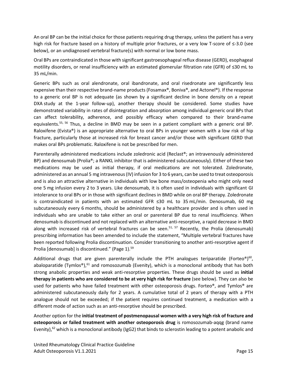An oral BP can be the initial choice for those patients requiring drug therapy, unless the patient has a very high risk for fracture based on a history of multiple prior fractures, or a very low T-score of ≤-3.0 (see below), or an undiagnosed vertebral fracture(s) with normal or low bone mass.

Oral BPs are contraindicated in those with significant gastroesophageal reflux disease (GERD), esophageal motility disorders, or renal insufficiency with an estimated glomerular filtration rate (GFR) of ≤30 mL to 35 mL/min.

Generic BPs such as oral alendronate, oral ibandronate, and oral risedronate are significantly less expensive than their respective brand-name products (Fosamax®, Boniva®, and Actonel®). If the response to a generic oral BP is not adequate (as shown by a significant decline in bone density on a repeat DXA study at the 1-year follow-up), another therapy should be considered. Some studies have demonstrated variability in rates of disintegration and absorption among individual generic oral BPs that can affect tolerability, adherence, and possibly efficacy when compared to their brand-name equivalents.<sup>55, 56</sup> Thus, a decline in BMD may be seen in a patient compliant with a generic oral BP. Raloxifene (Evista®) is an appropriate alternative to oral BPs in younger women with a low risk of hip fracture, particularly those at increased risk for breast cancer and/or those with significant GERD that makes oral BPs problematic. Raloxifene is not be prescribed for men.

Parenterally administered medications include zoledronic acid (Reclast®; an intravenously administered BP) and denosumab (Prolia®; a RANKL inhibitor that is administered subcutaneously). Either of these two medications may be used as initial therapy, if oral medications are not tolerated. Zoledronate, administered as an annual 5 mg intravenous (IV) infusion for 3 to 6 years, can be used to treat osteoporosis and is also an attractive alternative in individuals with low bone mass/osteopenia who might only need one 5 mg infusion every 2 to 3 years. Like denosumab, it is often used in individuals with significant GI intolerance to oral BPs or in those with significant declines in BMD while on oral BP therapy. Zoledronate is contraindicated in patients with an estimated GFR ≤30 mL to 35 mL/min. Denosumab, 60 mg subcutaneously every 6 months, should be administered by a healthcare provider and is often used in individuals who are unable to take either an oral or parenteral BP due to renal insufficiency. When denosumab is discontinued and not replaced with an alternative anti-resorptive, a rapid decrease in BMD along with increased risk of vertebral fractures can be seen.<sup>51, 57</sup> Recently, the Prolia (denosumab) prescribing information has been amended to include the statement, "Multiple vertebral fractures have been reported following Prolia discontinuation. Consider transitioning to another anti-resorptive agent if Prolia [denosumab] is discontinued." (Page 1).<sup>59</sup>

Additional drugs that are given parenterally include the PTH analogues teriparatide (Forteo®)<sup>60</sup>, abaloparatide (Tymlos®),<sup>61</sup> and romosozumab (Evenity), which is a monoclonal antibody that has both strong anabolic properties and weak anti-resorptive properties. These drugs should be used as **initial therapy in patients who are considered to be at very high risk for fracture** (see below). They can also be used for patients who have failed treatment with other osteoporosis drugs. Forteo®, and Tymlos® are administered subcutaneously daily for 2 years. A cumulative total of 2 years of therapy with a PTH analogue should not be exceeded; if the patient requires continued treatment, a medication with a different mode of action such as an anti-resorptive should be prescribed.

Another option for the **initial treatment of postmenopausal women with a very high risk of fracture and osteoporosis or failed treatment with another osteoporosis drug** is romosozumab-aqqg (brand name Evenity),<sup>62</sup> which is a monoclonal antibody (IgG2) that binds to sclerostin leading to a potent anabolic and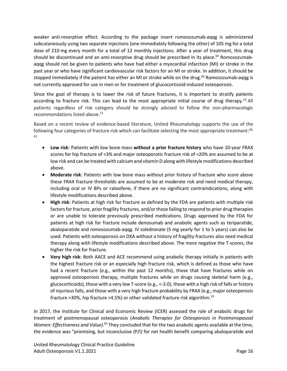weaker anti-resorptive effect. According to the package insert romosozumab-aqqg is administered subcutaneously using two separate injections (one immediately following the other) of 105 mg for a total dose of 210 mg every month for a total of 12 monthly injections. After a year of treatment, this drug should be discontinued and an anti-resorptive drug should be prescribed in its place.<sup>63</sup> Romosozumabaqqg should not be given to patients who have had either a myocardial infarction (MI) or stroke in the past year or who have significant cardiovascular risk factors for an MI or stroke. In addition, it should be stopped immediately if the patient has either an MI or stroke while on the drug.<sup>63</sup> Romosozumab-aqqg is not currently approved for use in men or for treatment of glucocorticoid-induced osteoporosis.

Since the goal of therapy is to lower the risk of future fractures, it is important to stratify patients according to fracture risk. This can lead to the most appropriate initial course of drug therapy.<sup>13</sup> All patients regardless of risk category should be strongly advised to follow the non-pharmacologic recommendations listed above.<sup>13</sup>

Based on a recent review of evidence-based literature, United Rheumatology supports the use of the following four categories of fracture risk which can facilitate selecting the most appropriate treatment:<sup>38,</sup> 63

- **Low risk**: Patients with low bone mass **without a prior fracture history** who have 10-year FRAX scores for hip fracture of <3% and major osteoporotic fracture risk of <20% are assumed to be at low risk and can be treated with calcium and vitamin D along with lifestyle modifications described above.
- **Moderate risk**: Patients with low bone mass without prior history of fracture who score above these FRAX fracture thresholds are assumed to be at moderate risk and need medical therapy, including oral or IV BPs or raloxifene, if there are no significant contraindications, along with lifestyle modifications described above.
- **High risk**: Patients at high risk for fracture as defined by the FDA are patients with multiple risk factors for fracture, prior fragility fractures, and/or those failing to respond to prior drug therapies or are unable to tolerate previously prescribed medications. Drugs approved by the FDA for patients at high risk for fracture include denosumab and anabolic agents such as teriparatide, abaloparatide and romosozumab-aqqg. IV zoledronate (5 mg yearly for 1 to 5 years) can also be used. Patients with osteoporosis on DXA without a history of fragility fractures also need medical therapy along with lifestyle modifications described above. The more negative the T-scores, the higher the risk for fracture.
- **Very high risk**: Both AACE and ACE recommend using anabolic therapy initially in patients with the highest fracture risk or an especially high fracture risk, which is defined as those who have had a recent fracture (e.g., within the past 12 months), those that have fractures while on approved osteoporosis therapy, multiple fractures while on drugs causing skeletal harm (e.g., glucocorticoids), those with a very low T-score (e.g., <-3.0), those with a high risk of falls or history of injurious falls, and those with a very high fracture probability by FRAX (e.g., major osteoporosis fracture  $>30\%$ , hip fracture  $>4.5\%$ ) or other validated fracture risk algorithm.<sup>13</sup>

In 2017, the Institute for Clinical and Economic Review (ICER) assessed the role of anabolic drugs for treatment of postmenopausal osteoporosis (*Anabolic Therapies for Osteoporosis in Postmenopausal*  Women: Effectiveness and Value).<sup>65</sup> They concluded that for the two anabolic agents available at the time, the evidence was "promising, but inconclusive (P/I) for net health benefit comparing abaloparatide and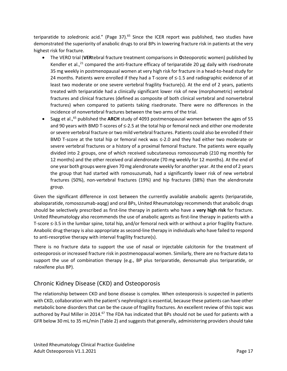teriparatide to zoledronic acid." (Page  $37$ ).<sup>65</sup> Since the ICER report was published, two studies have demonstrated the superiority of anabolic drugs to oral BPs in lowering fracture risk in patients at the very highest risk for fracture.

- The VERO trial (**VER**tebral fracture treatment comparisons in **O**steoporotic women) published by Kendler et al., $^{21}$  compared the anti-fracture efficacy of teriparatide 20  $\mu$ g daily with risedronate 35 mg weekly in postmenopausal women at very high risk for fracture in a head-to-head study for 24 months. Patients were enrolled if they had a T-score of  $\leq$ -1.5 and radiographic evidence of at least two moderate or one severe vertebral fragility fracture(s). At the end of 2 years, patients treated with teriparatide had a clinically significant lower risk of new (morphometric) vertebral fractures and clinical fractures (defined as composite of both clinical vertebral and nonvertebral fractures) when compared to patients taking risedronate. There were no differences in the incidence of nonvertebral fractures between the two arms of the trial.
- Sagg et al.,<sup>65</sup> published the ARCH study of 4093 postmenopausal women between the ages of 55 and 90 years with BMD T-scores of ≤-2.5 at the total hip or femoral neck and either one moderate or severe vertebral fracture or two mild vertebral fractures. Patients could also be enrolled if their BMD T-score at the total hip or femoral neck was ≤-2.0 and they had either two moderate or severe vertebral fractures or a history of a proximal femoral fracture. The patients were equally divided into 2 groups, one of which received subcutaneous romosozumab (210 mg monthly for 12 months) and the other received oral alendronate (70 mg weekly for 12 months). At the end of one year both groups were given 70 mg alendronate weekly for another year. At the end of 2 years the group that had started with romosuzumab, had a significantly lower risk of new vertebral fractures (50%), non-vertebral fractures (19%) and hip fractures (38%) than the alendronate group.

Given the significant difference in cost between the currently available anabolic agents (teriparatide, abaloparatide, romosozumab-aqqg) and oral BPs, United Rheumatology recommends that anabolic drugs should be selectively prescribed as first-line therapy in patients who have a **very high risk** for fracture. United Rheumatology also recommends the use of anabolic agents as first-line therapy in patients with a T-score ≤-3.5 in the lumbar spine, total hip, and/or femoral neck with or without a prior fragility fracture. Anabolic drug therapy is also appropriate as second-line therapy in individuals who have failed to respond to anti-resorptive therapy with interval fragility fracture(s).

There is no fracture data to support the use of nasal or injectable calcitonin for the treatment of osteoporosis or increased fracture risk in postmenopausal women. Similarly, there are no fracture data to support the use of combination therapy (e.g., BP plus teriparatide, denosumab plus teriparatide, or raloxifene plus BP).

## <span id="page-16-0"></span>Chronic Kidney Disease (CKD) and Osteoporosis

The relationship between CKD and bone disease is complex. When osteoporosis is suspected in patients with CKD, collaboration with the patient's nephrologist is essential, because these patients can have other metabolic bone disorders that can be the cause of fragility fractures. An excellent review of this topic was authored by Paul Miller in 2014.<sup>67</sup> The FDA has indicated that BPs should not be used for patients with a GFR below 30 mL to 35 mL/min [\(Table](#page-18-0) 2) and suggests that generally, administering providers should take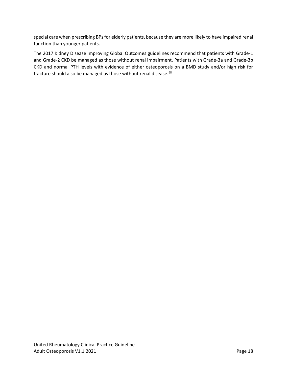special care when prescribing BPs for elderly patients, because they are more likely to have impaired renal function than younger patients.

The 2017 Kidney Disease Improving Global Outcomes guidelines recommend that patients with Grade-1 and Grade-2 CKD be managed as those without renal impairment. Patients with Grade-3a and Grade-3b CKD and normal PTH levels with evidence of either osteoporosis on a BMD study and/or high risk for fracture should also be managed as those without renal disease.<sup>68</sup>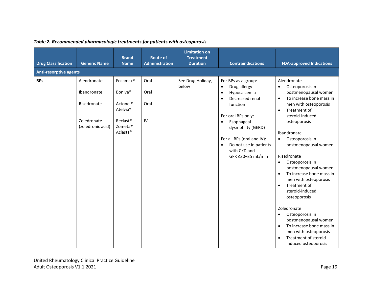<span id="page-18-0"></span>

| <b>Drug Classification</b><br><b>Anti-resorptive agents</b> | <b>Generic Name</b>                                                           | <b>Brand</b><br><b>Name</b>                                                                                                                                        | <b>Route of</b><br><b>Administration</b> | <b>Limitation on</b><br><b>Treatment</b><br><b>Duration</b> | <b>Contraindications</b>                                                                                                                                                                                                                                                                                   | <b>FDA-approved Indications</b>                                                                                                                                                                                                                                                                                                                                                                                                                                                                                                                                                                                                                                                              |
|-------------------------------------------------------------|-------------------------------------------------------------------------------|--------------------------------------------------------------------------------------------------------------------------------------------------------------------|------------------------------------------|-------------------------------------------------------------|------------------------------------------------------------------------------------------------------------------------------------------------------------------------------------------------------------------------------------------------------------------------------------------------------------|----------------------------------------------------------------------------------------------------------------------------------------------------------------------------------------------------------------------------------------------------------------------------------------------------------------------------------------------------------------------------------------------------------------------------------------------------------------------------------------------------------------------------------------------------------------------------------------------------------------------------------------------------------------------------------------------|
| <b>BPs</b>                                                  | Alendronate<br>Ibandronate<br>Risedronate<br>Zoledronate<br>(zoledronic acid) | Fosamax <sup>®</sup><br>Boniva <sup>®</sup><br>Actonel <sup>®</sup><br>Atelvia <sup>®</sup><br>Reclast <sup>®</sup><br>Zometa <sup>®</sup><br>Aclasta <sup>®</sup> | Oral<br>Oral<br>Oral<br>IV               | See Drug Holiday,<br>below                                  | For BPs as a group:<br>Drug allergy<br>$\bullet$<br>Hypocalcemia<br>$\bullet$<br>Decreased renal<br>$\bullet$<br>function<br>For oral BPs only:<br>Esophageal<br>$\bullet$<br>dysmotility (GERD)<br>For all BPs (oral and IV):<br>Do not use in patients<br>$\bullet$<br>with CKD and<br>GFR ≤30-35 mL/min | Alendronate<br>Osteoporosis in<br>$\bullet$<br>postmenopausal women<br>To increase bone mass in<br>$\bullet$<br>men with osteoporosis<br>Treatment of<br>$\bullet$<br>steroid-induced<br>osteoporosis<br>Ibandronate<br>Osteoporosis in<br>$\bullet$<br>postmenopausal women<br>Risedronate<br>Osteoporosis in<br>$\bullet$<br>postmenopausal women<br>To increase bone mass in<br>$\bullet$<br>men with osteoporosis<br>Treatment of<br>$\bullet$<br>steroid-induced<br>osteoporosis<br>Zoledronate<br>Osteoporosis in<br>$\bullet$<br>postmenopausal women<br>To increase bone mass in<br>$\bullet$<br>men with osteoporosis<br>Treatment of steroid-<br>$\bullet$<br>induced osteoporosis |

#### *Table 2. Recommended pharmacologic treatments for patients with osteoporosis*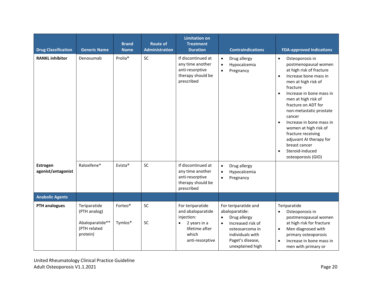| <b>Drug Classification</b>            | <b>Generic Name</b>                                                         | <b>Brand</b><br><b>Name</b>                | <b>Route of</b><br><b>Administration</b> | <b>Limitation on</b><br><b>Treatment</b><br><b>Duration</b>                                                                    | <b>Contraindications</b>                                                                                                                                                             | <b>FDA-approved Indications</b>                                                                                                                                                                                                                                                                                                                                                                                                                                                 |
|---------------------------------------|-----------------------------------------------------------------------------|--------------------------------------------|------------------------------------------|--------------------------------------------------------------------------------------------------------------------------------|--------------------------------------------------------------------------------------------------------------------------------------------------------------------------------------|---------------------------------------------------------------------------------------------------------------------------------------------------------------------------------------------------------------------------------------------------------------------------------------------------------------------------------------------------------------------------------------------------------------------------------------------------------------------------------|
| <b>RANKL inhibitor</b>                | Denosumab                                                                   | Prolia <sup>®</sup>                        | SC                                       | If discontinued at<br>any time another<br>anti-resorptive<br>therapy should be<br>prescribed                                   | Drug allergy<br>$\bullet$<br>Hypocalcemia<br>$\bullet$<br>Pregnancy<br>$\bullet$                                                                                                     | Osteoporosis in<br>$\bullet$<br>postmenopausal women<br>at high risk of fracture<br>Increase bone mass in<br>$\bullet$<br>men at high risk of<br>fracture<br>Increase in bone mass in<br>$\bullet$<br>men at high risk of<br>fracture on ADT for<br>non-metastatic prostate<br>cancer<br>Increase in bone mass in<br>$\bullet$<br>women at high risk of<br>fracture receiving<br>adjuvant AI therapy for<br>breast cancer<br>Steroid-induced<br>$\bullet$<br>osteoporosis (GIO) |
| <b>Estrogen</b><br>agonist/antagonist | Raloxifene*                                                                 | Evista <sup>®</sup>                        | <b>SC</b>                                | If discontinued at<br>any time another<br>anti-resorptive<br>therapy should be<br>prescribed                                   | Drug allergy<br>$\bullet$<br>Hypocalcemia<br>$\bullet$<br>Pregnancy<br>$\bullet$                                                                                                     |                                                                                                                                                                                                                                                                                                                                                                                                                                                                                 |
| <b>Anabolic Agents</b>                |                                                                             |                                            |                                          |                                                                                                                                |                                                                                                                                                                                      |                                                                                                                                                                                                                                                                                                                                                                                                                                                                                 |
| <b>PTH analogues</b>                  | Teriparatide<br>(PTH analog)<br>Abaloparatide**<br>(PTH related<br>protein) | Forteo <sup>®</sup><br>Tymlos <sup>®</sup> | SC<br><b>SC</b>                          | For teriparatide<br>and abaloparatide<br>injection:<br>2 years in a<br>$\bullet$<br>lifetime after<br>which<br>anti-resorptive | For teriparatide and<br>abaloparatide:<br>Drug allergy<br>$\bullet$<br>Increased risk of<br>$\bullet$<br>osteosarcoma in<br>individuals with<br>Paget's disease,<br>unexplained high | Teriparatide<br>Osteoporosis in<br>$\bullet$<br>postmenopausal women<br>at high risk for fracture<br>Men diagnosed with<br>$\bullet$<br>primary osteoporosis<br>Increase in bone mass in<br>$\bullet$<br>men with primary or                                                                                                                                                                                                                                                    |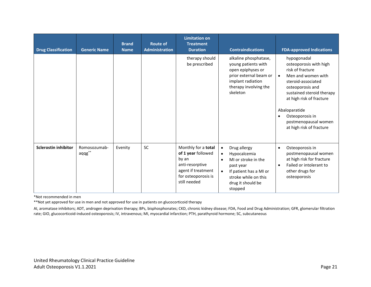| <b>Drug Classification</b>  | <b>Generic Name</b>               | <b>Brand</b><br><b>Name</b> | <b>Route of</b><br><b>Administration</b> | <b>Limitation on</b><br><b>Treatment</b><br><b>Duration</b>                                                                        | <b>Contraindications</b>                                                                                                                                                                               | <b>FDA-approved Indications</b>                                                                                                                                                                                                                                                                      |
|-----------------------------|-----------------------------------|-----------------------------|------------------------------------------|------------------------------------------------------------------------------------------------------------------------------------|--------------------------------------------------------------------------------------------------------------------------------------------------------------------------------------------------------|------------------------------------------------------------------------------------------------------------------------------------------------------------------------------------------------------------------------------------------------------------------------------------------------------|
|                             |                                   |                             |                                          | therapy should<br>be prescribed                                                                                                    | alkaline phosphatase,<br>young patients with<br>open epiphyses or<br>prior external beam or<br>implant radiation<br>therapy involving the<br>skeleton                                                  | hypogonadal<br>osteoporosis with high<br>risk of fracture<br>Men and women with<br>$\bullet$<br>steroid-associated<br>osteoporosis and<br>sustained steroid therapy<br>at high risk of fracture<br>Abaloparatide<br>Osteoporosis in<br>$\bullet$<br>postmenopausal women<br>at high risk of fracture |
| <b>Sclerostin inhibitor</b> | Romosozumab-<br>$aqqg^{\ast\ast}$ | Evenity                     | SC                                       | Monthly for a total<br>of 1 year followed<br>by an<br>anti-resorptive<br>agent if treatment<br>for osteoporosis is<br>still needed | Drug allergy<br>$\bullet$<br>Hypocalcemia<br>$\bullet$<br>MI or stroke in the<br>$\bullet$<br>past year<br>If patient has a MI or<br>$\bullet$<br>stroke while on this<br>drug it should be<br>stopped | Osteoporosis in<br>$\bullet$<br>postmenopausal women<br>at high risk for fracture<br>Failed or intolerant to<br>$\bullet$<br>other drugs for<br>osteoporosis                                                                                                                                         |

\*Not recommended in men

\*\*Not yet approved for use in men and not approved for use in patients on glucocorticoid therapy

AI, aromatase inhibitors; ADT, androgen deprivation therapy; BPs, bisphosphonates; CKD, chronic kidney disease; FDA, Food and Drug Administration; GFR, glomerular filtration rate; GIO, glucocorticoid-induced osteoporosis; IV, intravenous; MI, myocardial infarction; PTH, parathyroid hormone; SC, subcutaneous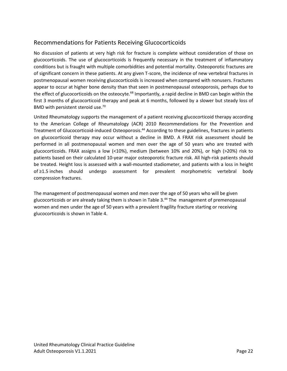#### <span id="page-21-0"></span>Recommendations for Patients Receiving Glucocorticoids

No discussion of patients at very high risk for fracture is complete without consideration of those on glucocorticoids. The use of glucocorticoids is frequently necessary in the treatment of inflammatory conditions but is fraught with multiple comorbidities and potential mortality. Osteoporotic fractures are of significant concern in these patients. At any given T-score, the incidence of new vertebral fractures in postmenopausal women receiving glucocorticoids is increased when compared with nonusers. Fractures appear to occur at higher bone density than that seen in postmenopausal osteoporosis, perhaps due to the effect of glucocorticoids on the osteocyte.<sup>68</sup> Importantly, a rapid decline in BMD can begin within the first 3 months of glucocorticoid therapy and peak at 6 months, followed by a slower but steady loss of BMD with persistent steroid use.<sup>70</sup>

United Rheumatology supports the management of a patient receiving glucocorticoid therapy according to the American College of Rheumatology (ACR) 2010 Recommendations for the Prevention and Treatment of Glucocorticoid-induced Osteoporosis.<sup>44</sup> According to these guidelines, fractures in patients on glucocorticoid therapy may occur without a decline in BMD. A FRAX risk assessment should be performed in all postmenopausal women and men over the age of 50 years who are treated with glucocorticoids. FRAX assigns a low (<10%), medium (between 10% and 20%), or high (>20%) risk to patients based on their calculated 10-year major osteoporotic fracture risk. All high-risk patients should be treated. Height loss is assessed with a wall-mounted stadiometer, and patients with a loss in height of ≥1.5 inches should undergo assessment for prevalent morphometric vertebral body compression fractures.

The management of postmenopausal women and men over the age of 50 years who will be given glucocorticoids or are already taking them is shown in [Table](#page-22-0) 3.<sup>44</sup> The management of premenopausal women and men under the age of 50 years with a prevalent fragility fracture starting or receiving glucocorticoids is shown in [Table](#page-22-1) 4.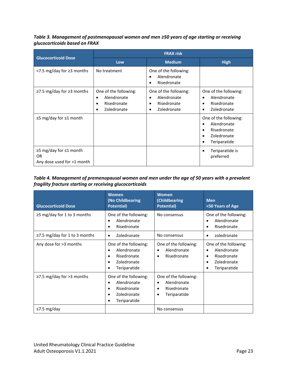<span id="page-22-0"></span>*Table 3. Management of postmenopausal women and men ≥50 years of age starting or receiving glucocorticoids based on FRAX*

|                                                                     | <b>FRAX risk</b>                                                                |                                                                    |                                                                                    |  |  |  |
|---------------------------------------------------------------------|---------------------------------------------------------------------------------|--------------------------------------------------------------------|------------------------------------------------------------------------------------|--|--|--|
| <b>Glucocorticoid Dose</b>                                          | Low                                                                             | <b>Medium</b>                                                      | <b>High</b>                                                                        |  |  |  |
| <7.5 mg/day for ≥3 months                                           | No treatment                                                                    | One of the following:<br>Alendronate<br>Risedronate                |                                                                                    |  |  |  |
| $\ge$ 7.5 mg/day for $\ge$ 3 months                                 | One of the following:<br>Alendronate<br>$\bullet$<br>Risedronate<br>Zoledronate | One of the following:<br>Alendronate<br>Risedronate<br>Zoledronate | One of the following:<br>Alendronate<br>Risedronate<br>Zoledronate                 |  |  |  |
| $\leq$ 5 mg/day for $\leq$ 1 month                                  |                                                                                 |                                                                    | One of the following:<br>Alendronate<br>Risedronate<br>Zoledronate<br>Teriparatide |  |  |  |
| $≥5$ mg/day for ≤1 month<br><b>OR</b><br>Any dose used for >1 month |                                                                                 |                                                                    | Teriparatide is<br>preferred                                                       |  |  |  |

<span id="page-22-1"></span>*Table 4. Management of premenopausal women and men under the age of 50 years with a prevalent fragility fracture starting or receiving glucocorticoids*

| <b>Glucocorticoid Dose</b>         | <b>Women</b><br>(No Childbearing<br><b>Potential</b> )                                          | Women<br>(Childbearing<br><b>Potential</b> )                                                               | <b>Men</b><br><50 Years of Age                                                                       |
|------------------------------------|-------------------------------------------------------------------------------------------------|------------------------------------------------------------------------------------------------------------|------------------------------------------------------------------------------------------------------|
| $\geq$ 5 mg/day for 1 to 3 months  | One of the following:<br>Alendronate<br>Risedronate                                             | No consensus                                                                                               | One of the following:<br>Alendronate<br>Risedronate                                                  |
| $\ge$ 7.5 mg/day for 1 to 3 months | Zoledronate<br>٠                                                                                | No consensus                                                                                               | zoledronate                                                                                          |
| Any dose for >3 months             | One of the following:<br>Alendronate<br>Risedronate<br>Zoledronate<br>$\bullet$<br>Teriparatide | One of the following:<br>Alendronate<br>$\bullet$<br>Risedronate<br>$\bullet$                              | One of the following:<br>Alendronate<br>$\bullet$<br>Risedronate<br>٠<br>Zoledronate<br>Teriparatide |
| $\ge$ 7.5 mg/day for >3 months     | One of the following:<br>Alendronate<br>Risedronate<br>Zoledronate<br>Teriparatide              | One of the following:<br>Alendronate<br>$\bullet$<br>Risedronate<br>$\bullet$<br>Teriparatide<br>$\bullet$ |                                                                                                      |
| $\leq$ 7.5 mg/day                  |                                                                                                 | No consensus                                                                                               |                                                                                                      |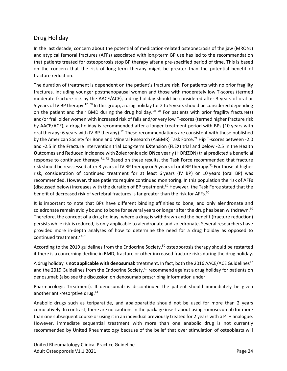#### <span id="page-23-1"></span><span id="page-23-0"></span>Drug Holiday

In the last decade, concern about the potential of medication-related osteonecrosis of the jaw (MRONJ) and atypical femoral fractures (AFFs) associated with long-term BP use has led to the recommendation that patients treated for osteoporosis stop BP therapy after a pre-specified period of time. This is based on the concern that the risk of long-term therapy might be greater than the potential benefit of fracture reduction.

The duration of treatment is dependent on the patient's fracture risk. For patients with no prior fragility fractures, including younger postmenopausal women and those with moderately low T-scores (termed moderate fracture risk by the AACE/ACE), a drug holiday should be considered after 3 years of oral or 5 years of IV BP therapy.<sup>12, 70</sup> In this group, a drug holiday for 2 to 5 years should be considered depending on the patient and their BMD during the drug holiday.<sup>50, 70</sup> For patients with prior fragility fracture(s) and/or frail older women with increased risk of falls and/or very low T-scores (termed higher fracture risk by AACE/ACE), a drug holiday is recommended after a longer treatment period with BPs (10 years with oral therapy; 6 years with IV BP therapy).<sup>12</sup> These recommendations are consistent with those published by the American Society for Bone and Mineral Research (ASBMR) Task Force.<sup>71</sup> Hip T-scores between -2.0 and -2.5 in the **F**racture intervention trial **L**ong-term **EX**tension (FLEX) trial and below -2.5 in the **H**ealth **O**utcomes and **R**educed **I**ncidence with **Z**oledronic acid **ON**ce yearly (HORIZON) trial predicted a beneficial response to continued therapy.<sup>71, 72</sup> Based on these results, the Task Force recommended that fracture risk should be reassessed after 3 years of IV BP therapy or 5 years of oral BP therapy.<sup>71</sup> For those at higher risk, consideration of continued treatment for at least 6 years (IV BP) or 10 years (oral BP) was recommended. However, these patients require continued monitoring. In this population the risk of AFFs (discussed below) increases with the duration of BP treatment.<sup>50</sup> However, the Task Force stated that the benefit of decreased risk of vertebral fractures is far greater than the risk for AFFs.<sup>50</sup>

It is important to note that BPs have different binding affinities to bone, and only alendronate and zoledronate remain avidly bound to bone for several years or longer after the drug has been withdrawn. $^{\mathsf{50}}$ Therefore, the concept of a drug holiday, where a drug is withdrawn and the benefit (fracture reduction) persists while risk is reduced, is only applicable to alendronate and zoledronate. Several researchers have provided more in-depth analyses of how to determine the need for a drug holiday as opposed to continued treatment. 73-75

According to the 2019 guidelines from the Endocrine Society,<sup>50</sup> osteoporosis therapy should be restarted if there is a concerning decline in BMD, fracture or other increased fracture risks during the drug holiday.

A drug holiday is **not applicable with denosumab** treatment. In fact, both the 2016 AACE/ACE Guidelines<sup>12</sup> and the 2019 Guidelines from the Endocrine Society,<sup>50</sup> recommend against a drug holiday for patients on denosumab (also see the discussion on denosumab prescribing information under

[Pharmacologic Treatment\)](#page-13-1). If denosumab is discontinued the patient should immediately be given another anti-resorptive drug.<sup>13</sup>

Anabolic drugs such as teriparatide, and abaloparatide should not be used for more than 2 years cumulatively. In contrast, there are no cautions in the package insert about using romosozumab for more than one subsequent course or using it in an individual previously treated for 2 years with a PTH analogue. However, immediate sequential treatment with more than one anabolic drug is not currently recommended by United Rheumatology because of the belief that over stimulation of osteoblasts will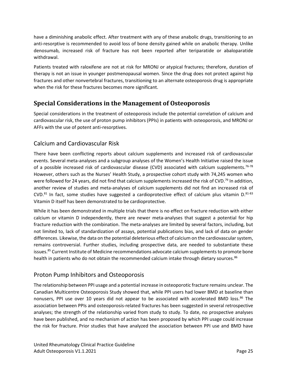have a diminishing anabolic effect. After treatment with any of these anabolic drugs, transitioning to an anti-resorptive is recommended to avoid loss of bone density gained while on anabolic therapy. Unlike denosumab, increased risk of fracture has not been reported after teriparatide or abaloparatide withdrawal.

Patients treated with raloxifene are not at risk for MRONJ or atypical fractures; therefore, duration of therapy is not an issue in younger postmenopausal women. Since the drug does not protect against hip fractures and other nonvertebral fractures, transitioning to an alternate osteoporosis drug is appropriate when the risk for these fractures becomes more significant.

## <span id="page-24-0"></span>**Special Considerations in the Management of Osteoporosis**

Special considerations in the treatment of osteoporosis include the potential correlation of calcium and cardiovascular risk, the use of proton pump inhibitors (PPIs) in patients with osteoporosis, and MRONJ or AFFs with the use of potent anti-resorptives.

#### <span id="page-24-1"></span>Calcium and Cardiovascular Risk

There have been conflicting reports about calcium supplements and increased risk of cardiovascular events. Several meta-analyses and a subgroup analyses of the Women's Health Initiative raised the issue of a possible increased risk of cardiovascular disease (CVD) associated with calcium supplements.<sup>76-78</sup> However, others such as the Nurses' Health Study, a prospective cohort study with 74,245 women who were followed for 24 years, did not find that calcium supplements increased the risk of CVD.<sup>79</sup> In addition, another review of studies and meta-analyses of calcium supplements did not find an increased risk of CVD.<sup>81</sup> In fact, some studies have suggested a cardioprotective effect of calcium plus vitamin D.<sup>81-83</sup> Vitamin D itself has been demonstrated to be cardioprotective.

While it has been demonstrated in multiple trials that there is no effect on fracture reduction with either calcium or vitamin D independently, there are newer meta-analyses that suggest a potential for hip fracture reduction with the combination. The meta-analyses are limited by several factors, including, but not limited to, lack of standardization of assays, potential publications bias, and lack of data on gender differences. Likewise, the data on the potential deleterious effect of calcium on the cardiovascular system, remains controversial. Further studies, including prospective data, are needed to substantiate these issues.<sup>85</sup> Current Institute of Medicine recommendations advocate calcium supplements to promote bone health in patients who do not obtain the recommended calcium intake through dietary sources.<sup>86</sup>

#### <span id="page-24-2"></span>Proton Pump Inhibitors and Osteoporosis

The relationship between PPI usage and a potential increase in osteoporotic fracture remains unclear. The Canadian Multicentre Osteoporosis Study showed that, while PPI users had lower BMD at baseline than nonusers, PPI use over 10 years did not appear to be associated with accelerated BMD loss.<sup>86</sup> The association between PPIs and osteoporosis-related fractures has been suggested in several retrospective analyses; the strength of the relationship varied from study to study. To date, no prospective analyses have been published, and no mechanism of action has been proposed by which PPI usage could increase the risk for fracture. Prior studies that have analyzed the association between PPI use and BMD have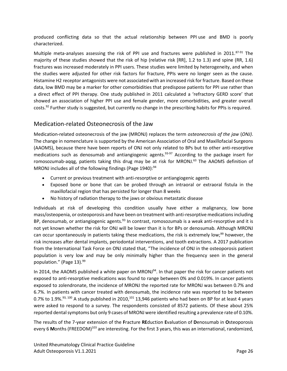produced conflicting data so that the actual relationship between PPI use and BMD is poorly characterized.

Multiple meta-analyses assessing the risk of PPI use and fractures were published in 2011.<sup>87-91</sup> The majority of these studies showed that the risk of hip (relative risk [RR], 1.2 to 1.3) and spine (RR, 1.6) fractures was increased moderately in PPI users. These studies were limited by heterogeneity, and when the studies were adjusted for other risk factors for fracture, PPIs were no longer seen as the cause. Histamine H2 receptor antagonists were not associated with an increased risk for fracture. Based on these data, low BMD may be a marker for other comorbidities that predispose patients for PPI use rather than a direct effect of PPI therapy. One study published in 2011 calculated a 'refractory GERD score' that showed an association of higher PPI use and female gender, more comorbidities, and greater overall costs.<sup>92</sup> Further study is suggested, but currently no change in the prescribing habits for PPIs is required.

#### <span id="page-25-0"></span>Medication-related Osteonecrosis of the Jaw

Medication-related osteonecrosis of the jaw (MRONJ) replaces the term *osteonecrosis of the jaw* (*ONJ)*. The change in nomenclature is supported by the American Association of Oral and Maxillofacial Surgeons (AAOMS), because there have been reports of ONJ not only related to BPs but to other anti-resorptive medications such as denosumab and antiangiogenic agents. 93-97 According to the package insert for romosozumab-aqqg, patients taking this drug may be at risk for MRONJ.<sup>63</sup> The AAOMS definition of MRONJ includes all of the following findings (Page 1940):<sup>94</sup>

- Current or previous treatment with anti-resorptive or antiangiogenic agents
- Exposed bone or bone that can be probed through an intraoral or extraoral fistula in the maxillofacial region that has persisted for longer than 8 weeks
- No history of radiation therapy to the jaws or obvious metastatic disease

Individuals at risk of developing this condition usually have either a malignancy, low bone mass/osteopenia, or osteoporosis and have been on treatment with anti-resorptive medicationsincluding BP, denosumab, or antiangiogenic agents. $93$  In contrast, romosozumab is a weak anti-resorptive and it is not yet known whether the risk for ONJ will be lower than it is for BPs or denosumab. Although MRONJ can occur spontaneously in patients taking these medications, the risk is extremely low;<sup>99</sup> however, the risk increases after dental implants, periodontal interventions, and tooth extractions. A 2017 publication from the International Task Force on ONJ stated that, "The incidence of ONJ in the osteoporosis patient population is very low and may be only minimally higher than the frequency seen in the general population." (Page 13).<sup>99</sup>

In 2014, the AAOMS published a white paper on MRONJ<sup>94</sup>. In that paper the risk for cancer patients not exposed to anti-resorptive medications was found to range between 0% and 0.019%. In cancer patients exposed to zolendronate, the incidence of MRONJ the reported rate for MRONJ was between 0.7% and 6.7%. In patients with cancer treated with denosumab, the incidence rate was reported to be between 0.7% to 1.9%. $^{93,~100}$  A study published in 2010, $^{101}$  13,946 patients who had been on BP for at least 4 years were asked to respond to a survey. The respondents consisted of 8572 patients. Of these about 25% reported dental symptoms but only 9 cases of MRONJ were identified resulting a prevalence rate of 0.10%.

The results of the 7-year extension of the **F**racture **RE**duction **E**valuation of **D**enosumab in **O**steoporosis every 6 Months (FREEDOM)<sup>103</sup> are interesting. For the first 3 years, this was an international, randomized,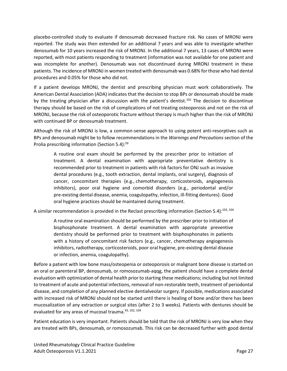placebo-controlled study to evaluate if denosumab decreased fracture risk. No cases of MRONJ were reported. The study was then extended for an additional 7 years and was able to investigate whether denosumab for 10 years increased the risk of MRONJ. In the additional 7 years, 13 cases of MRONJ were reported, with most patients responding to treatment (information was not available for one patient and was incomplete for another). Denosumab was not discontinued during MRONJ treatment in these patients. The incidence of MRONJ in women treated with denosumab was 0.68% for those who had dental procedures and 0.05% for those who did not.

If a patient develops MRONJ, the dentist and prescribing physician must work collaboratively. The American Dental Association (ADA) indicates that the decision to stop BPs or denosumab should be made by the treating physician after a discussion with the patient's dentist.<sup>102</sup> The decision to discontinue therapy should be based on the risk of complications of not treating osteoporosis and not on the risk of MRONJ, because the risk of osteoporotic fracture without therapy is much higher than the risk of MRONJ with continued BP or denosumab treatment.

Although the risk of MRONJ is low, a common-sense approach to using potent anti-resorptives such as BPs and denosumab might be to follow recommendations in the *Warnings and Precautions* section of the Prolia prescribing information (Section 5.4):<sup>59</sup>

A routine oral exam should be performed by the prescriber prior to initiation of treatment. A dental examination with appropriate preventative dentistry is recommended prior to treatment in patients with risk factors for ONJ such as invasive dental procedures (e.g., tooth extraction, dental implants, oral surgery), diagnosis of cancer, concomitant therapies (e.g., chemotherapy, corticosteroids, angiogenesis inhibitors), poor oral hygiene and comorbid disorders (e.g., periodontal and/or pre-existing dental disease, anemia, coagulopathy, infection, ill-fitting dentures). Good oral hygiene practices should be maintained during treatment.

A similar recommendation is provided in the Reclast prescribing information (Section 5.4):<sup>103, 104</sup>

A routine oral examination should be performed by the prescriber prior to initiation of bisphosphonate treatment. A dental examination with appropriate preventive dentistry should be performed prior to treatment with bisphosphonates in patients with a history of concomitant risk factors (e.g., cancer, chemotherapy angiogenesis inhibitors, radiotherapy, corticosteroids, poor oral hygiene, pre-existing dental disease or infection, anemia, coagulopathy).

Before a patient with low bone mass/osteopenia or osteoporosis or malignant bone disease is started on an oral or parenteral BP, denosumab, or romosozumab-aqqg, the patient should have a complete dental evaluation with optimization of dental health prior to starting these medications; including but not limited to treatment of acute and potential infections, removal of non-restorable teeth, treatment of periodontal disease, and completion of any planned elective dentialveolar surgery. If possible, medications associated with increased risk of MRONJ should not be started until there is healing of bone and/or there has been mucosalization of any extraction or surgical sites (after 2 to 3 weeks). Patients with dentures should be evaluated for any areas of mucosal trauma.<sup>93, 102, 104</sup>

Patient education is very important. Patients should be told that the risk of MRONJ is very low when they are treated with BPs, denosumab, or romosozumab. This risk can be decreased further with good dental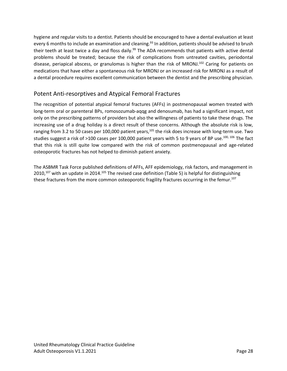hygiene and regular visits to a dentist. Patients should be encouraged to have a dental evaluation at least every 6 months to include an examination and cleaning.<sup>93</sup> In addition, patients should be advised to brush their teeth at least twice a day and floss daily.<sup>99</sup> The ADA recommends that patients with active dental problems should be treated; because the risk of complications from untreated cavities, periodontal disease, periapical abscess, or granulomas is higher than the risk of MRONJ.<sup>102</sup> Caring for patients on medications that have either a spontaneous risk for MRONJ or an increased risk for MRONJ as a result of a dental procedure requires excellent communication between the dentist and the prescribing physician.

#### <span id="page-27-0"></span>Potent Anti-resorptives and Atypical Femoral Fractures

The recognition of potential atypical femoral fractures (AFFs) in postmenopausal women treated with long-term oral or parenteral BPs, romosozumab-aqqg and denosumab, has had a significant impact, not only on the prescribing patterns of providers but also the willingness of patients to take these drugs. The increasing use of a drug holiday is a direct result of these concerns. Although the absolute risk is low, ranging from 3.2 to 50 cases per 100,000 patient years,<sup>105</sup> the risk does increase with long-term use. Two studies suggest a risk of >100 cases per 100,000 patient years with 5 to 9 years of BP use.<sup>100, 106</sup> The fact that this risk is still quite low compared with the risk of common postmenopausal and age-related osteoporotic fractures has not helped to diminish patient anxiety.

The ASBMR Task Force published definitions of AFFs, AFF epidemiology, risk factors, and management in 2010,<sup>107</sup> with an update in 2014.<sup>105</sup> The revised case definition [\(Table](#page-28-0) 5) is helpful for distinguishing these fractures from the more common osteoporotic fragility fractures occurring in the femur.<sup>107</sup>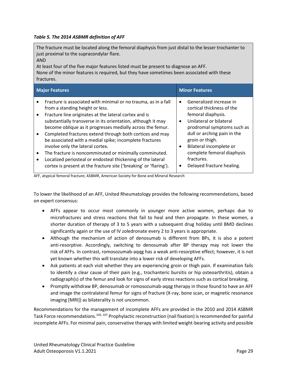#### <span id="page-28-0"></span>*Table 5. The 2014 ASBMR definition of AFF*

The fracture must be located along the femoral diaphysis from just distal to the lesser trochanter to just proximal to the supracondylar flare. AND At least four of the five major features listed must be present to diagnose an AFF. None of the minor features is required, but they have sometimes been associated with these fractures. **Major Features Minor Features** • Fracture is associated with minimal or no trauma, as in a fall from a standing height or less. • Fracture line originates at the lateral cortex and is substantially transverse in its orientation, although it may become oblique as it progresses medially across the femur. • Generalized increase in cortical thickness of the femoral diaphysis. • Unilateral or bilateral prodromal symptoms such as

- Completed fractures extend through both cortices and may be associated with a medial spike; incomplete fractures involve only the lateral cortex.
- The fracture is noncomminuted or minimally comminuted.
- Localized periosteal or endosteal thickening of the lateral cortex is present at the fracture site ('breaking' or 'flaring'). • Delayed fracture healing.

AFF, atypical femoral fracture; ASBMR, American Society for Bone and Mineral Research

To lower the likelihood of an AFF, United Rheumatology provides the following recommendations, based on expert consensus:

- AFFs appear to occur most commonly in younger more active women, perhaps due to microfractures and stress reactions that fail to heal and then propagate. In these women, a shorter duration of therapy of 3 to 5 years with a subsequent drug holiday until BMD declines significantly again or the use of IV zoledronate every 2 to 3 years is appropriate.
- Although the mechanism of action of denosumab is different from BPs, it is also a potent anti-resorptive. Accordingly, switching to denosumab after BP therapy may not lower the risk of AFFs. In contrast, romosozumab-aqqg has a weak anti-resorptive effect; however, it is not yet known whether this will translate into a lower risk of developing AFFs.
- Ask patients at each visit whether they are experiencing groin or thigh pain. If examination fails to identify a clear cause of their pain (e.g., trochanteric bursitis or hip osteoarthritis), obtain a radiograph(s) of the femur and look for signs of early stress reactions such as cortical breaking.
- Promptly withdraw BP, denosumab or romosozumab-aqqg therapy in those found to have an AFF and image the contralateral femur for signs of fracture (X-ray, bone scan, or magnetic resonance imaging [MRI]) as bilaterality is not uncommon.

Recommendations for the management of incomplete AFFs are provided in the 2010 and 2014 ASBMR Task Force recommendations.<sup>105, 107</sup> Prophylactic reconstruction (nail fixation) is recommended for painful incomplete AFFs. For minimal pain, conservative therapy with limited weight-bearing activity and possible

dull or arching pain in the

complete femoral diaphysis

groin or thigh. • Bilateral incomplete or

fractures.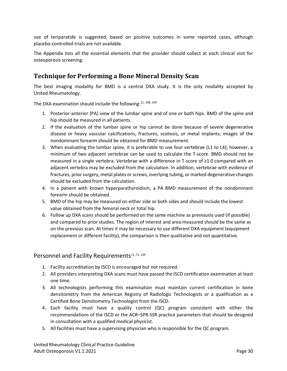use of teriparatide is suggested, based on positive outcomes in some reported cases, although placebo-controlled trials are not available.

The [Appendix](#page-34-0) lists all the essential elements that the provider should collect at each clinical visit for osteoporosis screening.

#### <span id="page-29-0"></span>**Technique for Performing a Bone Mineral Density Scan**

The best imaging modality for BMD is a central DXA study. It is the only modality accepted by United Rheumatology.

The DXA examination should include the following: $11, 108, 109$ 

- 1. Posterior-anterior (PA) view of the lumbar spine and of one or both hips. BMD of the spine and hip should be measured in all patients.
- 2. If the evaluation of the lumbar spine or hip cannot be done because of severe degenerative disease or heavy vascular calcifications, fractures, scoliosis, or metal implants; images of the nondominant forearm should be obtained for BMD measurement.
- 3. When evaluating the lumbar spine, it is preferable to use four vertebrae (L1 to L4); however, a minimum of two adjacent vertebrae can be used to calculate the T-score. BMD should not be measured in a single vertebra. Vertebrae with a difference in T-score of ≥1.0 compared with an adjacent vertebra may be excluded from the calculation. In addition, vertebrae with evidence of fractures, prior surgery, metal plates or screws, overlying tubing, or marked degenerative changes should be excluded from the calculation.
- 4. In a patient with known hyperparathyroidism, a PA BMD measurement of the nondominant forearm should be obtained.
- 5. BMD of the hip may be measured on either side or both sides and should include the lowest value obtained from the femoral neck or total hip.
- 6. Follow up DXA scans should be performed on the same machine as previously used (if possible) and compared to prior studies. The region of interest and area measured should be the same as on the previous scan. At times it may be necessary to use different DXA equipment (equipment replacement or different facility), the comparison is then qualitative and not quantitative.

#### Personnel and Facility Requirements<sup>11, 71, 105</sup>

- 1. Facility accreditation by ISCD is encouraged but not required.
- 2. All providers interpreting DXA scans must have passed the ISCD certification examination at least one time.
- 3. All technologists performing this examination must maintain current certification in bone densitometry from the American Registry of Radiologic Technologists or a qualification as a Certified Bone Densitometry Technologist from the ISCD.
- 4. Each facility must have a quality control (QC) program consistent with either the recommendations of the ISCD or the ACR–SPR-SSR practice parameters that should be designed in consultation with a qualified medical physicist.
- 5. All facilities must have a supervising physician who is responsible for the QC program.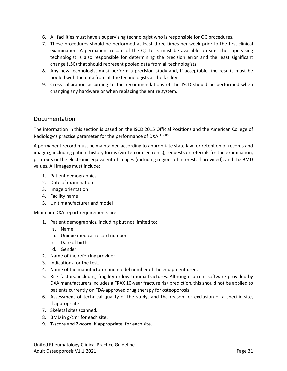- 6. All facilities must have a supervising technologist who is responsible for QC procedures.
- 7. These procedures should be performed at least three times per week prior to the first clinical examination. A permanent record of the QC tests must be available on site. The supervising technologist is also responsible for determining the precision error and the least significant change (LSC) that should represent pooled data from all technologists.
- 8. Any new technologist must perform a precision study and, if acceptable, the results must be pooled with the data from all the technologists at the facility.
- 9. Cross-calibration according to the recommendations of the ISCD should be performed when changing any hardware or when replacing the entire system.

#### <span id="page-30-0"></span>Documentation

The information in this section is based on the ISCD 2015 Official Positions and the American College of Radiology's practice parameter for the performance of DXA.<sup>11, 105</sup>

A permanent record must be maintained according to appropriate state law for retention of records and imaging; including patient history forms (written or electronic), requests or referrals for the examination, printouts or the electronic equivalent of images (including regions of interest, if provided), and the BMD values. All images must include:

- 1. Patient demographics
- 2. Date of examination
- 3. Image orientation
- 4. Facility name
- 5. Unit manufacturer and model

Minimum DXA report requirements are:

- 1. Patient demographics, including but not limited to:
	- a. Name
	- b. Unique medical-record number
	- c. Date of birth
	- d. Gender
- 2. Name of the referring provider.
- 3. Indications for the test.
- 4. Name of the manufacturer and model number of the equipment used.
- 5. Risk factors, including fragility or low-trauma fractures. Although current software provided by DXA manufacturers includes a FRAX 10-year fracture risk prediction, this should not be applied to patients currently on FDA-approved drug therapy for osteoporosis.
- 6. Assessment of technical quality of the study, and the reason for exclusion of a specific site, if appropriate.
- 7. Skeletal sites scanned.
- 8. BMD in  $g/cm<sup>2</sup>$  for each site.
- 9. T-score and Z-score, if appropriate, for each site.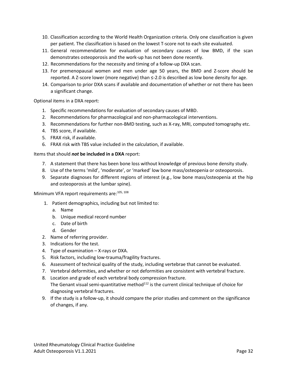- 10. Classification according to the World Health Organization criteria. Only one classification is given per patient. The classification is based on the lowest T-score not to each site evaluated.
- 11. General recommendation for evaluation of secondary causes of low BMD, if the scan demonstrates osteoporosis and the work-up has not been done recently.
- 12. Recommendations for the necessity and timing of a follow-up DXA scan.
- 13. For premenopausal women and men under age 50 years, the BMD and Z-score should be reported. A Z-score lower (more negative) than ≤-2.0 is described as low bone density for age.
- 14. Comparison to prior DXA scans if available and documentation of whether or not there has been a significant change.

Optional items in a DXA report:

- 1. Specific recommendations for evaluation of secondary causes of MBD.
- 2. Recommendations for pharmacological and non-pharmacological interventions.
- 3. Recommendations for further non-BMD testing, such as X-ray, MRI, computed tomography etc.
- 4. TBS score, if available.
- 5. FRAX risk, if available.
- 6. FRAX risk with TBS value included in the calculation, if available.

#### Items that should *not* **be included in a DXA** report:

- 7. A statement that there has been bone loss without knowledge of previous bone density study.
- 8. Use of the terms 'mild', 'moderate', or 'marked' low bone mass/osteopenia or osteoporosis.
- 9. Separate diagnoses for different regions of interest (e.g., low bone mass/osteopenia at the hip and osteoporosis at the lumbar spine).

Minimum VFA report requirements are: 105, 108

- 1. Patient demographics, including but not limited to:
	- a. Name
	- b. Unique medical record number
	- c. Date of birth
	- d. Gender
- 2. Name of referring provider.
- 3. Indications for the test.
- 4. Type of examination X-rays or DXA.
- 5. Risk factors, including low-trauma/fragility fractures.
- 6. Assessment of technical quality of the study, including vertebrae that cannot be evaluated.
- 7. Vertebral deformities, and whether or not deformities are consistent with vertebral fracture.
- 8. Location and grade of each vertebral body compression fracture. The Genant visual semi-quantitative method $112$  is the current clinical technique of choice for diagnosing vertebral fractures.
- 9. If the study is a follow-up, it should compare the prior studies and comment on the significance of changes, if any.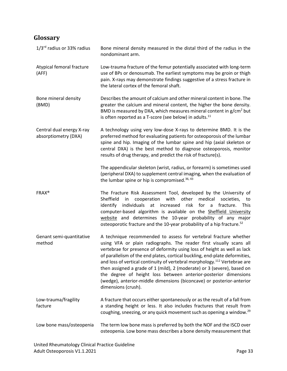# <span id="page-32-0"></span>**Glossary**

| $1/3$ <sup>rd</sup> radius or 33% radius          | Bone mineral density measured in the distal third of the radius in the<br>nondominant arm.                                                                                                                                                                                                                                                                                                                                                                                                                                                                                                                                                |
|---------------------------------------------------|-------------------------------------------------------------------------------------------------------------------------------------------------------------------------------------------------------------------------------------------------------------------------------------------------------------------------------------------------------------------------------------------------------------------------------------------------------------------------------------------------------------------------------------------------------------------------------------------------------------------------------------------|
| Atypical femoral fracture<br>(AFF)                | Low-trauma fracture of the femur potentially associated with long-term<br>use of BPs or denosumab. The earliest symptoms may be groin or thigh<br>pain. X-rays may demonstrate findings suggestive of a stress fracture in<br>the lateral cortex of the femoral shaft.                                                                                                                                                                                                                                                                                                                                                                    |
| Bone mineral density<br>(BMD)                     | Describes the amount of calcium and other mineral content in bone. The<br>greater the calcium and mineral content, the higher the bone density.<br>BMD is measured by DXA, which measures mineral content in $g/cm2$ but<br>is often reported as a T-score (see below) in adults. <sup>11</sup>                                                                                                                                                                                                                                                                                                                                           |
| Central dual energy X-ray<br>absorptiometry (DXA) | A technology using very low-dose X-rays to determine BMD. It is the<br>preferred method for evaluating patients for osteoporosis of the lumbar<br>spine and hip. Imaging of the lumbar spine and hip (axial skeleton or<br>central DXA) is the best method to diagnose osteoporosis, monitor<br>results of drug therapy, and predict the risk of fracture(s).                                                                                                                                                                                                                                                                             |
|                                                   | The appendicular skeleton (wrist, radius, or forearm) is sometimes used<br>(peripheral DXA) to supplement central imaging, when the evaluation of<br>the lumbar spine or hip is compromised. <sup>36, 43</sup>                                                                                                                                                                                                                                                                                                                                                                                                                            |
| <b>FRAX®</b>                                      | The Fracture Risk Assessment Tool, developed by the University of<br>with other<br>medical<br>Sheffield<br>in<br>cooperation<br>societies,<br>to<br>individuals<br>at increased risk<br>for<br>a<br>fracture.<br>identify<br><b>This</b><br>computer-based algorithm is available on the Sheffield University<br>website and determines the 10-year probability of any major<br>osteoporotic fracture and the 10-year probability of a hip fracture. <sup>52</sup>                                                                                                                                                                        |
| Genant semi-quantitative<br>method                | A technique recommended to assess for vertebral fracture whether<br>using VFA or plain radiographs. The reader first visually scans all<br>vertebrae for presence of deformity using loss of height as well as lack<br>of parallelism of the end plates, cortical buckling, end-plate deformities,<br>and loss of vertical continuity of vertebral morphology. <sup>112</sup> Vertebrae are<br>then assigned a grade of 1 (mild), 2 (moderate) or 3 (severe), based on<br>the degree of height loss between anterior-posterior dimensions<br>(wedge), anterior-middle dimensions (biconcave) or posterior-anterior<br>dimensions (crush). |
| Low-trauma/fragility<br>facture                   | A fracture that occurs either spontaneously or as the result of a fall from<br>a standing height or less. It also includes fractures that result from<br>coughing, sneezing, or any quick movement such as opening a window. <sup>29</sup>                                                                                                                                                                                                                                                                                                                                                                                                |
| Low bone mass/osteopenia                          | The term low bone mass is preferred by both the NOF and the ISCD over<br>osteopenia. Low bone mass describes a bone density measurement that                                                                                                                                                                                                                                                                                                                                                                                                                                                                                              |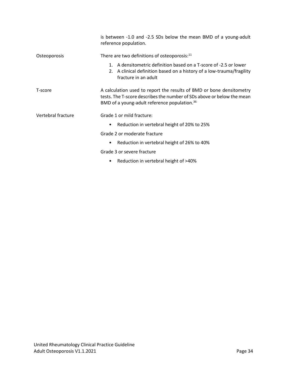|                    | is between -1.0 and -2.5 SDs below the mean BMD of a young-adult<br>reference population.                                                                                                                  |  |  |  |
|--------------------|------------------------------------------------------------------------------------------------------------------------------------------------------------------------------------------------------------|--|--|--|
| Osteoporosis       | There are two definitions of osteoporosis: <sup>11</sup>                                                                                                                                                   |  |  |  |
|                    | 1. A densitometric definition based on a T-score of -2.5 or lower<br>2. A clinical definition based on a history of a low-trauma/fragility<br>fracture in an adult                                         |  |  |  |
| T-score            | A calculation used to report the results of BMD or bone densitometry<br>tests. The T-score describes the number of SDs above or below the mean<br>BMD of a young-adult reference population. <sup>36</sup> |  |  |  |
| Vertebral fracture | Grade 1 or mild fracture:                                                                                                                                                                                  |  |  |  |
|                    | Reduction in vertebral height of 20% to 25%<br>٠                                                                                                                                                           |  |  |  |
|                    | Grade 2 or moderate fracture                                                                                                                                                                               |  |  |  |
|                    | Reduction in vertebral height of 26% to 40%<br>$\bullet$                                                                                                                                                   |  |  |  |
|                    | Grade 3 or severe fracture                                                                                                                                                                                 |  |  |  |
|                    | Reduction in vertebral height of >40%                                                                                                                                                                      |  |  |  |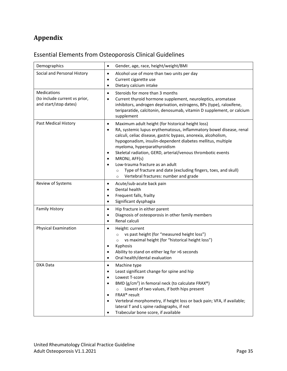# <span id="page-34-0"></span>**Appendix**

# <span id="page-34-1"></span>Essential Elements from Osteoporosis Clinical Guidelines

| Demographics                                                                 | Gender, age, race, height/weight/BMI<br>٠                                                                                                                                                                                                                                                                                                                                                                                                                                                                                                                                                      |
|------------------------------------------------------------------------------|------------------------------------------------------------------------------------------------------------------------------------------------------------------------------------------------------------------------------------------------------------------------------------------------------------------------------------------------------------------------------------------------------------------------------------------------------------------------------------------------------------------------------------------------------------------------------------------------|
| Social and Personal History                                                  | Alcohol use of more than two units per day<br>٠<br>Current cigarette use<br>٠<br>Dietary calcium intake<br>٠                                                                                                                                                                                                                                                                                                                                                                                                                                                                                   |
| <b>Medications</b><br>(to include current vs prior,<br>and start/stop dates) | Steroids for more than 3 months<br>$\bullet$<br>Current thyroid hormone supplement, neuroleptics, aromatase<br>٠<br>inhibitors, androgen deprivation, estrogens, BPs (type), raloxifene,<br>teriparatide, calcitonin, denosumab, vitamin D supplement, or calcium<br>supplement                                                                                                                                                                                                                                                                                                                |
| Past Medical History                                                         | Maximum adult height (for historical height loss)<br>$\bullet$<br>RA, systemic lupus erythematosus, inflammatory bowel disease, renal<br>$\bullet$<br>calculi, celiac disease, gastric bypass, anorexia, alcoholism,<br>hypogonadism, insulin-dependent diabetes mellitus, multiple<br>myeloma, hyperparathyroidism<br>Skeletal radiation, GERD, arterial/venous thrombotic events<br>٠<br>MRONJ, AFF(s)<br>٠<br>Low-trauma fracture as an adult<br>$\bullet$<br>Type of fracture and date (excluding fingers, toes, and skull)<br>$\circ$<br>Vertebral fractures: number and grade<br>$\circ$ |
| Review of Systems                                                            | Acute/sub-acute back pain<br>$\bullet$<br>Dental health<br>$\bullet$<br>Frequent falls, frailty<br>$\bullet$<br>Significant dysphagia<br>$\bullet$                                                                                                                                                                                                                                                                                                                                                                                                                                             |
| <b>Family History</b>                                                        | Hip fracture in either parent<br>$\bullet$<br>Diagnosis of osteoporosis in other family members<br>٠<br>Renal calculi<br>$\bullet$                                                                                                                                                                                                                                                                                                                                                                                                                                                             |
| <b>Physical Examination</b>                                                  | Height: current<br>٠<br>vs past height (for "measured height loss")<br>$\circ$<br>vs maximal height (for "historical height loss")<br>$\circ$<br>Kyphosis<br>٠<br>Ability to stand on either leg for >6 seconds<br>٠<br>Oral health/dental evaluation<br>٠                                                                                                                                                                                                                                                                                                                                     |
| DXA Data                                                                     | Machine type<br>٠<br>Least significant change for spine and hip<br>Lowest T-score<br>BMD (g/cm <sup>2</sup> ) in femoral neck (to calculate FRAX <sup>®</sup> )<br>$\bullet$<br>Lowest of two values, if both hips present<br>$\circ$<br>FRAX <sup>®</sup> result<br>Vertebral morphometry, if height loss or back pain; VFA, if available;<br>٠<br>lateral T and L spine radiographs, if not<br>Trabecular bone score, if available<br>٠                                                                                                                                                      |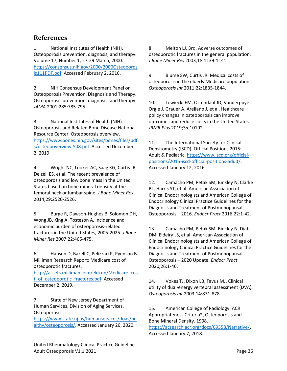#### <span id="page-35-0"></span>**References**

1. National Institutes of Health (NIH). Osteoporosis prevention, diagnosis, and therapy. Volume 17, Number 1, 27-29 March, 2000. [https://consensus.nih.gov/2000/2000Osteoporos](https://consensus.nih.gov/2000/2000Osteoporosis111PDF.pdf) [is111PDF.pdf.](https://consensus.nih.gov/2000/2000Osteoporosis111PDF.pdf) Accessed February 2, 2016.

2. NIH Consensus Development Panel on Osteoporosis Prevention, Diagnosis and Therapy. Osteoporosis prevention, diagnosis, and therapy. *JAMA* 2001;285:785-795.

3. National Institutes of Health (NIH) Osteoporosis and Related Bone Disease National Resource Center. Osteoporosis overview. [https://www.bones.nih.gov/sites/bones/files/pdf](https://www.bones.nih.gov/sites/bones/files/pdfs/osteopoverview-508.pdf) [s/osteopoverview-508.pdf.](https://www.bones.nih.gov/sites/bones/files/pdfs/osteopoverview-508.pdf) Accessed December 2, 2019.

4. Wright NC, Looker AC, Saag KG, Curtis JR, Delzell ES, et al. The recent prevalence of osteoporosis and low bone mass in the United States based on bone mineral density at the femoral neck or lumbar spine. *J Bone Miner Res*  2014;29:2520-2526.

5. Burge R, Dawson-Hughes B, Solomon DH, Wong JB, King A, Tosteson A. Incidence and economic burden of osteoporosis-related fractures in the United States, 2005-2025. *J Bone Miner Res* 2007;22:465-475.

6. Hansen D, Bazell C, Pelizzari P, Pyenson B. Milliman Research Report: Medicare cost of osteoporotic fractures.

[http://assets.milliman.com/ektron/Medicare\\_cos](http://assets.milliman.com/ektron/Medicare_cost_of_osteoporotic_fractures.pdf) [t\\_of\\_osteoporotic\\_fractures.pdf.](http://assets.milliman.com/ektron/Medicare_cost_of_osteoporotic_fractures.pdf) Accessed December 2, 2019.

7. State of New Jersey Department of Human Services, Division of Aging Services. Osteoporosis.

[https://www.state.nj.us/humanservices/doas/he](https://www.state.nj.us/humanservices/doas/healthy/osteoporosis/) [althy/osteoporosis/.](https://www.state.nj.us/humanservices/doas/healthy/osteoporosis/) Accessed January 26, 2020.

8. Melton LJ, 3rd. Adverse outcomes of osteoporotic fractures in the general population. *J Bone Miner Res* 2003;18:1139-1141.

9. Blume SW, Curtis JR. Medical costs of osteoporosis in the elderly Medicare population. *Osteoporosis Int* 2011;22:1835-1844.

10. Lewiecki EM, Ortendahl JD, Vanderpuye-Orgle J, Grauer A, Arellano J, et al. Healthcare policy changes in osteoporosis can improve outcomes and reduce costs in the United States. *JBMR Plus* 2019;3:e10192.

11. The International Society for Clinical Densitometry (ISCD). Official Positions 2015: Adult & Pediatric[. https://www.iscd.org/official](https://www.iscd.org/official-positions/2015-iscd-official-positions-adult/)[positions/2015-iscd-official-positions-adult/.](https://www.iscd.org/official-positions/2015-iscd-official-positions-adult/) Accessed January 12, 2016.

12. Camacho PM, Petak SM, Binkley N, Clarke BL, Harris ST, et al. American Association of Clinical Endocrinologists and American College of Endocrinology Clinical Practice Guidelines for the Diagnosis and Treatment of Postmenopausal Osteoporosis – 2016. *Endocr Pract* 2016;22:1-42.

13. Camacho PM, Petak SM, Binkley N, Diab DM, Eldeiry LS, et al. American Association of Clinical Endocrinologists and American College of Endocrinology Clinical Practice Guidelines for the Diagnosis and Treatment of Postmenopausal Osteoporosis – 2020 Update. *Endocr Pract*  2020;26:1-46.

14. Vokes TJ, Dixon LB, Favus MJ. Clinical utility of dual-energy vertebral assessment (DVA). *Osteoporosis Int* 2003;14:871-878.

15. American College of Radiology. ACR Appropriateness Criteria®, Osteoporosis and Bone Mineral Density. 1998.

[https://acsearch.acr.org/docs/69358/Narrative/.](https://acsearch.acr.org/docs/69358/Narrative/) Accessed January 7, 2018.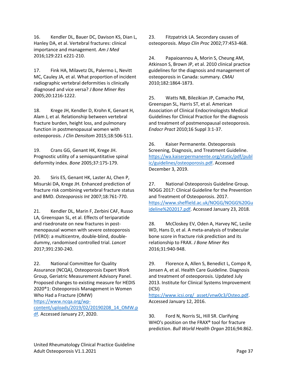16. Kendler DL, Bauer DC, Davison KS, Dian L, Hanley DA, et al. Vertebral fractures: clinical importance and management. *Am J Med*  2016;129:221 e221-210.

17. Fink HA, Milavetz DL, Palermo L, Nevitt MC, Cauley JA, et al. What proportion of incident radiographic vertebral deformities is clinically diagnosed and vice versa? *J Bone Miner Res*  2005;20:1216-1222.

18. Krege JH, Kendler D, Krohn K, Genant H, Alam J, et al. Relationship between vertebral fracture burden, height loss, and pulmonary function in postmenopausal women with osteoporosis. *J Clin Densitom* 2015;18:506-511.

19. Crans GG, Genant HK, Krege JH. Prognostic utility of a semiquantitative spinal deformity index. *Bone* 2005;37:175-179.

20. Siris ES, Genant HK, Laster AJ, Chen P, Misurski DA, Krege JH. Enhanced prediction of fracture risk combining vertebral fracture status and BMD. *Osteoporosis Int* 2007;18:761-770.

21. Kendler DL, Marin F, Zerbini CAF, Russo LA, Greenspan SL, et al. Effects of teriparatide and risedronate on new fractures in postmenopausal women with severe osteoporosis (VERO): a multicentre, double-blind, doubledummy, randomised controlled trial. *Lancet*  2017;391:230-240.

22. National Committee for Quality Assurance (NCQA), Osteoporosis Expert Work Group, Geriatric Measurement Advisory Panel. Proposed changes to existing measure for HEDIS 2020®1: Osteoporosis Management in Women Who Had a Fracture (OMW)

[https://www.ncqa.org/wp-](https://www.ncqa.org/wp-content/uploads/2019/02/20190208_14_OMW.pdf)

[content/uploads/2019/02/20190208\\_14\\_OMW.p](https://www.ncqa.org/wp-content/uploads/2019/02/20190208_14_OMW.pdf) [df.](https://www.ncqa.org/wp-content/uploads/2019/02/20190208_14_OMW.pdf) Accessed January 27, 2020.

23. Fitzpatrick LA. Secondary causes of osteoporosis. *Mayo Clin Proc* 2002;77:453-468.

24. Papaioannou A, Morin S, Cheung AM, Atkinson S, Brown JP, et al. 2010 clinical practice guidelines for the diagnosis and management of osteoporosis in Canada: summary. *CMAJ*  2010;182:1864-1873.

25. Watts NB, Bilezikian JP, Camacho PM, Greenspan SL, Harris ST, et al. American Association of Clinical Endocrinologists Medical Guidelines for Clinical Practice for the diagnosis and treatment of postmenopausal osteoporosis. *Endocr Pract* 2010;16 Suppl 3:1-37.

26. Kaiser Permanente. Osteoporosis Screening, Diagnosis, and Treatment Guideline. [https://wa.kaiserpermanente.org/static/pdf/publ](https://wa.kaiserpermanente.org/static/pdf/public/guidelines/osteoporosis.pdf) [ic/guidelines/osteoporosis.pdf.](https://wa.kaiserpermanente.org/static/pdf/public/guidelines/osteoporosis.pdf) Accessed December 3, 2019.

27. National Osteoporosis Guideline Group. NOGG 2017: Clinical Guideline for the Prevention and Treatment of Osteoporosis. 2017. [https://www.sheffield.ac.uk/NOGG/NOGG%20Gu](https://www.sheffield.ac.uk/NOGG/NOGG%20Guideline%202017.pdf) [ideline%202017.pdf.](https://www.sheffield.ac.uk/NOGG/NOGG%20Guideline%202017.pdf) Accessed January 23, 2018.

28. McCloskey EV, Oden A, Harvey NC, Leslie WD, Hans D, et al. A meta-analysis of trabecular bone score in fracture risk prediction and its relationship to FRAX. *J Bone Miner Res*  2016;31:940-948.

29. Florence A, Allen S, Benedict L, Compo R, Jensen A, et al. Health Care Guideline. Diagnosis and treatment of osteoporosis. Updated July 2013. Institute for Clinical Systems Improvement (ICSI)

[https://www.icsi.org/\\_asset/vnw0c3/Osteo.pdf.](https://www.icsi.org/_asset/vnw0c3/Osteo.pdf) Accessed January 12, 2016.

30. Ford N, Norris SL, Hill SR. Clarifying WHO's position on the FRAX® tool for fracture prediction. *Bull World Health Organ* 2016;94:862.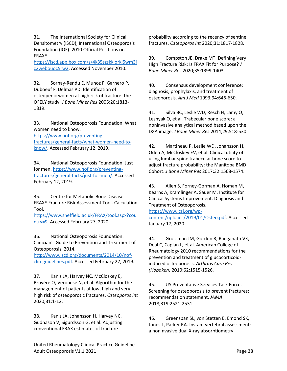31. The International Society for Clinical Densitometry (ISCD), International Osteoporosis Foundation (IOF). 2010 Official Positions on FRAX®.

[https://iscd.app.box.com/s/4k35szskkiorkl5wm3i](https://iscd.app.box.com/s/4k35szskkiorkl5wm3ic2webouoc5rw2) [c2webouoc5rw2.](https://iscd.app.box.com/s/4k35szskkiorkl5wm3ic2webouoc5rw2) Accessed November 2010.

32. Sornay-Rendu E, Munoz F, Garnero P, Duboeuf F, Delmas PD. Identification of osteopenic women at high risk of fracture: the OFELY study. *J Bone Miner Res* 2005;20:1813- 1819.

33. National Osteoporosis Foundation. What women need to know.

[https://www.nof.org/preventing](https://www.nof.org/preventing-fractures/general-facts/what-women-need-to-know/)[fractures/general-facts/what-women-need-to](https://www.nof.org/preventing-fractures/general-facts/what-women-need-to-know/)[know/.](https://www.nof.org/preventing-fractures/general-facts/what-women-need-to-know/) Accessed February 12, 2019.

34. National Osteoporosis Foundation. Just for men. [https://www.nof.org/preventing](https://www.nof.org/preventing-fractures/general-facts/just-for-men/)[fractures/general-facts/just-for-men/.](https://www.nof.org/preventing-fractures/general-facts/just-for-men/) Accessed February 12, 2019.

35. Centre for Metabolic Bone Diseases. FRAX® Fracture Risk Assessment Tool. Calculation Tool.

[https://www.sheffield.ac.uk/FRAX/tool.aspx?cou](https://www.sheffield.ac.uk/FRAX/tool.aspx?country=9) [ntry=9.](https://www.sheffield.ac.uk/FRAX/tool.aspx?country=9) Accessed February 27, 2020.

36. National Osteoporosis Foundation. Clinician's Guide to Prevention and Treatment of Osteoporosis. 2014.

[http://www.iscd.org/documents/2014/10/nof](http://www.iscd.org/documents/2014/10/nof-clin-guidelines.pdf)[clin-guidelines.pdf.](http://www.iscd.org/documents/2014/10/nof-clin-guidelines.pdf) Accessed February 27, 2019.

37. Kanis JA, Harvey NC, McCloskey E, Bruyère O, Veronese N, et al. Algorithm for the management of patients at low, high and very high risk of osteoporotic fractures. *Osteoporos Int*  2020;31:1-12.

38. Kanis JA, Johansson H, Harvey NC, Gudnason V, Sigurdsson G, et al. Adjusting conventional FRAX estimates of fracture

probability according to the recency of sentinel fractures. *Osteoporos Int* 2020;31:1817-1828.

39. Compston JE, Drake MT. Defining Very High Fracture Risk: Is FRAX Fit for Purpose? *J Bone Miner Res* 2020;35:1399-1403.

40. Consensus development conference: diagnosis, prophylaxis, and treatment of osteoporosis. *Am J Med* 1993;94:646-650.

41. Silva BC, Leslie WD, Resch H, Lamy O, Lesnyak O, et al. Trabecular bone score: a noninvasive analytical method based upon the DXA image. *J Bone Miner Res* 2014;29:518-530.

42. Martineau P, Leslie WD, Johansson H, Oden A, McCloskey EV, et al. Clinical utility of using lumbar spine trabecular bone score to adjust fracture probability: the Manitoba BMD Cohort. *J Bone Miner Res* 2017;32:1568-1574.

43. Allen S, Forney-Gorman A, Homan M, Kearns A, Kramlinger A, Sauer M. Institute for Clinical Systems Improvement. Diagnosis and Treatment of Osteoporosis.

[https://www.icsi.org/wp](https://www.icsi.org/wp-content/uploads/2019/01/Osteo.pdf)[content/uploads/2019/01/Osteo.pdf.](https://www.icsi.org/wp-content/uploads/2019/01/Osteo.pdf) Accessed January 17, 2020.

44. Grossman JM, Gordon R, Ranganath VK, Deal C, Caplan L, et al. American College of Rheumatology 2010 recommendations for the prevention and treatment of glucocorticoidinduced osteoporosis. *Arthritis Care Res (Hoboken)* 2010;62:1515-1526.

45. US Preventative Services Task Force. Screening for osteoporosis to prevent fractures: recommendation statement. *JAMA*  2018;319:2521-2531.

46. Greenspan SL, von Stetten E, Emond SK, Jones L, Parker RA. Instant vertebral assessment: a noninvasive dual X-ray absorptiometry

United Rheumatology Clinical Practice Guideline Adult Osteoporosis V1.1.2021 **Page 38**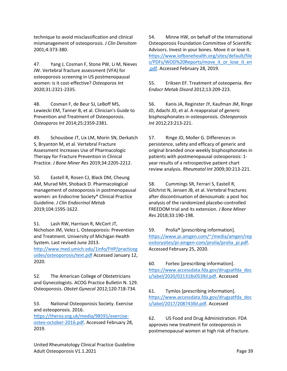technique to avoid misclassification and clinical mismanagement of osteoporosis. *J Clin Densitom*  2001;4:373-380.

47. Yang J, Cosman F, Stone PW, Li M, Nieves JW. Vertebral fracture assessment (VFA) for osteoporosis screening in US postmenopausal women: is it cost-effective? *Osteoporos Int*  2020;31:2321-2335.

48. Cosman F, de Beur SJ, LeBoff MS, Lewiecki EM, Tanner B, et al. Clinician's Guide to Prevention and Treatment of Osteoporosis. *Osteoporos Int* 2014;25:2359-2381.

49. Schousboe JT, Lix LM, Morin SN, Derkatch S, Bryanton M, et al. Vertebral Fracture Assessment Increases Use of Pharmacologic Therapy for Fracture Prevention in Clinical Practice. *J Bone Miner Res* 2019;34:2205-2212.

50. Eastell R, Rosen CJ, Black DM, Cheung AM, Murad MH, Shoback D. Pharmacological management of osteoporosis in postmenopausal women: an Endocrine Society\* Clinical Practice Guideline. *J Clin Endocrinol Metab*  2019;104:1595-1622.

51. Lash RW, Harrison R, McCort JT, Nicholson JM, Velez L. Osteoporosis: Prevention and Treatment. University of Michigan Health System. Last revised June 2013. [http://www.med.umich.edu/1info/FHP/practiceg](http://www.med.umich.edu/1info/FHP/practiceguides/osteoporosis/text.pdf) [uides/osteoporosis/text.pdf](http://www.med.umich.edu/1info/FHP/practiceguides/osteoporosis/text.pdf) Accessed January 12, 2020.

52. The American College of Obstetricians and Gynecologists. ACOG Practice Bulletin N. 129. Osteoporosis. *Obstet Gynecol* 2012;120:718-734.

53. National Osteoporosis Society. Exercise and osteoporosis. 2016.

[https://theros.org.uk/media/98591/exercise](https://theros.org.uk/media/98591/exercise-osteo-october-2016.pdf)[osteo-october-2016.pdf.](https://theros.org.uk/media/98591/exercise-osteo-october-2016.pdf) Accessed February 28, 2019.

54. Minne HW, on behalf of the International Osteoporosis Foundation Committee of Scientific Advisors. Invest in your bones. Move it or lose it. [https://www.iofbonehealth.org/sites/default/file](https://www.iofbonehealth.org/sites/default/files/PDFs/WOD%20Reports/move_it_or_lose_it_en.pdf) [s/PDFs/WOD%20Reports/move\\_it\\_or\\_lose\\_it\\_en](https://www.iofbonehealth.org/sites/default/files/PDFs/WOD%20Reports/move_it_or_lose_it_en.pdf) [.pdf.](https://www.iofbonehealth.org/sites/default/files/PDFs/WOD%20Reports/move_it_or_lose_it_en.pdf) Accessed February 28, 2019.

55. Eriksen EF. Treatment of osteopenia. *Rev Endocr Metab Disord* 2012;13:209-223.

56. Kanis JA, Reginster JY, Kaufman JM, Ringe JD, Adachi JD, et al. A reappraisal of generic bisphosphonates in osteoporosis. *Osteoporosis Int* 2012;23:213-221.

57. Ringe JD, Moller G. Differences in persistence, safety and efficacy of generic and original branded once weekly bisphosphonates in patients with postmenopausal osteoporosis: 1 year results of a retrospective patient chart review analysis. *Rheumatol Int* 2009;30:213-221.

58. Cummings SR, Ferrari S, Eastell R, Gilchrist N, Jensen JB, et al. Vertebral fractures after discontinuation of denosumab: a post hoc analysis of the randomized placebo-controlled FREEDOM trial and its extension. *J Bone Miner Res* 2018;33:190-198.

59. Prolia® [prescribing information]. [https://www.pi.amgen.com/~/media/amgen/rep](https://www.pi.amgen.com/~/media/amgen/repositorysites/pi-amgen-com/prolia/prolia_pi.pdf) [ositorysites/pi-amgen-com/prolia/prolia\\_pi.pdf.](https://www.pi.amgen.com/~/media/amgen/repositorysites/pi-amgen-com/prolia/prolia_pi.pdf) Accessed February 25, 2020.

60. Forteo [prescribing information]. [https://www.accessdata.fda.gov/drugsatfda\\_doc](https://www.accessdata.fda.gov/drugsatfda_docs/label/2020/021318s053lbl.pdf) [s/label/2020/021318s053lbl.pdf.](https://www.accessdata.fda.gov/drugsatfda_docs/label/2020/021318s053lbl.pdf) Accessed

61. Tymlos [prescribing information]. [https://www.accessdata.fda.gov/drugsatfda\\_doc](https://www.accessdata.fda.gov/drugsatfda_docs/label/2017/208743lbl.pdf) [s/label/2017/208743lbl.pdf.](https://www.accessdata.fda.gov/drugsatfda_docs/label/2017/208743lbl.pdf) Accessed

62. US Food and Drug Administration. FDA approves new treatment for osteoporosis in postmenopausal women at high risk of fracture.

United Rheumatology Clinical Practice Guideline Adult Osteoporosis V1.1.2021 **Page 39**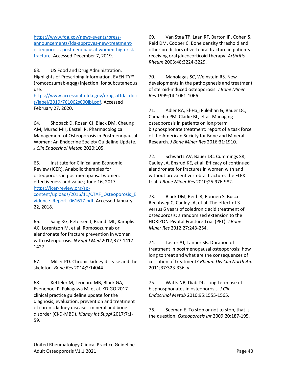[https://www.fda.gov/news-events/press](https://www.fda.gov/news-events/press-announcements/fda-approves-new-treatment-osteoporosis-postmenopausal-women-high-risk-fracture)[announcements/fda-approves-new-treatment](https://www.fda.gov/news-events/press-announcements/fda-approves-new-treatment-osteoporosis-postmenopausal-women-high-risk-fracture)[osteoporosis-postmenopausal-women-high-risk](https://www.fda.gov/news-events/press-announcements/fda-approves-new-treatment-osteoporosis-postmenopausal-women-high-risk-fracture)[fracture.](https://www.fda.gov/news-events/press-announcements/fda-approves-new-treatment-osteoporosis-postmenopausal-women-high-risk-fracture) Accessed December 7, 2019.

63. US Food and Drug Administration. Highlights of Prescribing Information. EVENITY™ (romosozumab-aqqg) injection, for subcutaneous use.

[https://www.accessdata.fda.gov/drugsatfda\\_doc](https://www.accessdata.fda.gov/drugsatfda_docs/label/2019/761062s000lbl.pdf) [s/label/2019/761062s000lbl.pdf.](https://www.accessdata.fda.gov/drugsatfda_docs/label/2019/761062s000lbl.pdf) Accessed February 27, 2020.

64. Shoback D, Rosen CJ, Black DM, Cheung AM, Murad MH, Eastell R. Pharmacological Management of Osteoporosis in Postmenopausal Women: An Endocrine Society Guideline Update. *J Clin Endocrinol Metab* 2020;105.

65. Institute for Clinical and Economic Review (ICER). Anabolic therapies for osteoporosis in postmenopausal women: effectiveness and value.; June 16, 2017. [https://icer-review.org/sp](https://icer-review.org/sp-content/uploads/2016/11/CTAF_Osteoporosis_Evidence_Report_061617.pdf)[content/uploads/2016/11/CTAF\\_Osteoporosis\\_E](https://icer-review.org/sp-content/uploads/2016/11/CTAF_Osteoporosis_Evidence_Report_061617.pdf) [vidence\\_Report\\_061617.pdf.](https://icer-review.org/sp-content/uploads/2016/11/CTAF_Osteoporosis_Evidence_Report_061617.pdf) Accessed January 22, 2018.

66. Saag KG, Petersen J, Brandi ML, Karaplis AC, Lorentzon M, et al. Romosozumab or alendronate for fracture prevention in women with osteoporosis. *N Engl J Med* 2017;377:1417- 1427.

67. Miller PD. Chronic kidney disease and the skeleton. *Bone Res* 2014;2:14044.

68. Ketteler M, Leonard MB, Block GA, Evenepoel P, Fukagawa M, et al. KDIGO 2017 clinical practice guideline update for the diagnosis, evaluation, prevention and treatment of chronic kidney disease - mineral and bone disorder (CKD-MBD). *Kidney Int Suppl* 2017;7:1- 59.

69. Van Staa TP, Laan RF, Barton IP, Cohen S, Reid DM, Cooper C. Bone density threshold and other predictors of vertebral fracture in patients receiving oral glucocorticoid therapy. *Arthritis Rheum* 2003;48:3224-3229.

70. Manolagas SC, Weinstein RS. New developments in the pathogenesis and treatment of steroid-induced osteoporosis. *J Bone Miner Res* 1999;14:1061-1066.

71. Adler RA, El-Hajj Fuleihan G, Bauer DC, Camacho PM, Clarke BL, et al. Managing osteoporosis in patients on long-term bisphosphonate treatment: report of a task force of the American Society for Bone and Mineral Research. *J Bone Miner Res* 2016;31:1910.

72. Schwartz AV, Bauer DC, Cummings SR, Cauley JA, Ensrud KE, et al. Efficacy of continued alendronate for fractures in women with and without prevalent vertebral fracture: the FLEX trial. *J Bone Miner Res* 2010;25:976-982.

73. Black DM, Reid IR, Boonen S, Bucci-Rechtweg C, Cauley JA, et al. The effect of 3 versus 6 years of zoledronic acid treatment of osteoporosis: a randomized extension to the HORIZON-Pivotal Fracture Trial (PFT). *J Bone Miner Res* 2012;27:243-254.

74. Laster AJ, Tanner SB. Duration of treatment in postmenopausal osteoporosis: how long to treat and what are the consequences of cessation of treatment? *Rheum Dis Clin North Am*  2011;37:323-336, v.

75. Watts NB, Diab DL. Long-term use of bisphosphonates in osteoporosis. *J Clin Endocrinol Metab* 2010;95:1555-1565.

76. Seeman E. To stop or not to stop, that is the question. *Osteoporosis Int* 2009;20:187-195.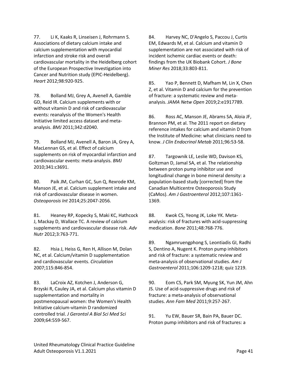77. Li K, Kaaks R, Linseisen J, Rohrmann S. Associations of dietary calcium intake and calcium supplementation with myocardial infarction and stroke risk and overall cardiovascular mortality in the Heidelberg cohort of the European Prospective Investigation into Cancer and Nutrition study (EPIC-Heidelberg). *Heart* 2012;98:920-925.

78. Bolland MJ, Grey A, Avenell A, Gamble GD, Reid IR. Calcium supplements with or without vitamin D and risk of cardiovascular events: reanalysis of the Women's Health Initiative limited access dataset and metaanalysis. *BMJ* 2011;342:d2040.

79. Bolland MJ, Avenell A, Baron JA, Grey A, MacLennan GS, et al. Effect of calcium supplements on risk of myocardial infarction and cardiovascular events: meta-analysis. *BMJ*  2010;341:c3691.

80. Paik JM, Curhan GC, Sun Q, Rexrode KM, Manson JE, et al. Calcium supplement intake and risk of cardiovascular disease in women. *Osteoporosis Int* 2014;25:2047-2056.

81. Heaney RP, Kopecky S, Maki KC, Hathcock J, Mackay D, Wallace TC. A review of calcium supplements and cardiovascular disease risk. *Adv Nutr* 2012;3:763-771.

82. Hsia J, Heiss G, Ren H, Allison M, Dolan NC, et al. Calcium/vitamin D supplementation and cardiovascular events. *Circulation*  2007;115:846-854.

83. LaCroix AZ, Kotchen J, Anderson G, Brzyski R, Cauley JA, et al. Calcium plus vitamin D supplementation and mortality in postmenopausal women: the Women's Health Initiative calcium-vitamin D randomized controlled trial. *J Gerontol A Biol Sci Med Sci*  2009;64:559-567.

84. Harvey NC, D'Angelo S, Paccou J, Curtis EM, Edwards M, et al. Calcium and vitamin D supplementation are not associated with risk of incident ischemic cardiac events or death: findings from the UK Biobank Cohort. *J Bone Miner Res* 2018;33:803-811.

85. Yao P, Bennett D, Mafham M, Lin X, Chen Z, et al. Vitamin D and calcium for the prevention of fracture: a systematic review and metaanalysis. *JAMA Netw Open* 2019;2:e1917789.

86. Ross AC, Manson JE, Abrams SA, Aloia JF, Brannon PM, et al. The 2011 report on dietary reference intakes for calcium and vitamin D from the Institute of Medicine: what clinicians need to know. *J Clin Endocrinol Metab* 2011;96:53-58.

87. Targownik LE, Leslie WD, Davison KS, Goltzman D, Jamal SA, et al. The relationship between proton pump inhibitor use and longitudinal change in bone mineral density: a population-based study [corrected] from the Canadian Multicentre Osteoporosis Study (CaMos). *Am J Gastroenterol* 2012;107:1361- 1369.

88. Kwok CS, Yeong JK, Loke YK. Metaanalysis: risk of fractures with acid-suppressing medication. *Bone* 2011;48:768-776.

89. Ngamruengphong S, Leontiadis GI, Radhi S, Dentino A, Nugent K. Proton pump inhibitors and risk of fracture: a systematic review and meta-analysis of observational studies. *Am J Gastroenterol* 2011;106:1209-1218; quiz 1219.

90. Eom CS, Park SM, Myung SK, Yun JM, Ahn JS. Use of acid-suppressive drugs and risk of fracture: a meta-analysis of observational studies. *Ann Fam Med* 2011;9:257-267.

91. Yu EW, Bauer SR, Bain PA, Bauer DC. Proton pump inhibitors and risk of fractures: a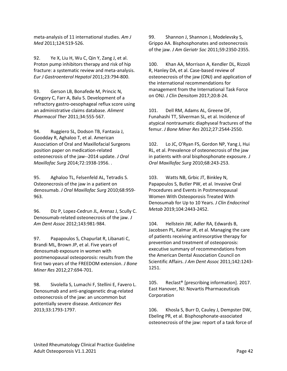meta-analysis of 11 international studies. *Am J Med* 2011;124:519-526.

92. Ye X, Liu H, Wu C, Qin Y, Zang J, et al. Proton pump inhibitors therapy and risk of hip fracture: a systematic review and meta-analysis. *Eur J Gastroenterol Hepatol* 2011;23:794-800.

93. Gerson LB, Bonafede M, Princic N, Gregory C, Farr A, Balu S. Development of a refractory gastro-oesophageal reflux score using an administrative claims database. *Aliment Pharmacol Ther* 2011;34:555-567.

94. Ruggiero SL, Dodson TB, Fantasia J, Goodday R, Aghaloo T, et al. American Association of Oral and Maxillofacial Surgeons position paper on medication-related osteonecrosis of the jaw--2014 update. *J Oral Maxillofac Surg* 2014;72:1938-1956. .

95. Aghaloo TL, Felsenfeld AL, Tetradis S. Osteonecrosis of the jaw in a patient on denosumab. *J Oral Maxillofac Surg* 2010;68:959- 963.

96. Diz P, Lopez-Cedrun JL, Arenaz J, Scully C. Denosumab-related osteonecrosis of the jaw. *J Am Dent Assoc* 2012;143:981-984.

97. Papapoulos S, Chapurlat R, Libanati C, Brandi ML, Brown JP, et al. Five years of denosumab exposure in women with postmenopausal osteoporosis: results from the first two years of the FREEDOM extension. *J Bone Miner Res* 2012;27:694-701.

98. Sivolella S, Lumachi F, Stellini E, Favero L. Denosumab and anti-angiogenetic drug-related osteonecrosis of the jaw: an uncommon but potentially severe disease. *Anticancer Res*  2013;33:1793-1797.

99. Shannon J, Shannon J, Modelevsky S, Grippo AA. Bisphosphonates and osteonecrosis of the jaw. *J Am Geriatr Soc* 2011;59:2350-2355.

100. Khan AA, Morrison A, Kendler DL, Rizzoli R, Hanley DA, et al. Case-based review of osteonecrosis of the jaw (ONJ) and application of the international recommendations for management from the International Task Force on ONJ. *J Clin Densitom* 2017;20:8-24.

101. Dell RM, Adams AL, Greene DF, Funahashi TT, Silverman SL, et al. Incidence of atypical nontraumatic diaphyseal fractures of the femur. *J Bone Miner Res* 2012;27:2544-2550.

102. Lo JC, O'Ryan FS, Gordon NP, Yang J, Hui RL, et al. Prevalence of osteonecrosis of the jaw in patients with oral bisphosphonate exposure. *J Oral Maxillofac Surg* 2010;68:243-253.

103. Watts NB, Grbic JT, Binkley N, Papapoulos S, Butler PW, et al. Invasive Oral Procedures and Events in Postmenopausal Women With Osteoporosis Treated With Denosumab for Up to 10 Years. *J Clin Endocrinol Metab* 2019;104:2443-2452.

104. Hellstein JW, Adler RA, Edwards B, Jacobsen PL, Kalmar JR, et al. Managing the care of patients receiving antiresorptive therapy for prevention and treatment of osteoporosis: executive summary of recommendations from the American Dental Association Council on Scientific Affairs. *J Am Dent Assoc* 2011;142:1243- 1251.

105. Reclast® [prescribing information]. 2017. East Hanover, NJ: Novartis Pharmaceuticals Corporation

106. Khosla S, Burr D, Cauley J, Dempster DW, Ebeling PR, et al. Bisphosphonate-associated osteonecrosis of the jaw: report of a task force of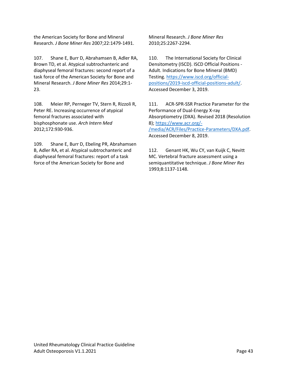the American Society for Bone and Mineral Research. *J Bone Miner Res* 2007;22:1479-1491.

107. Shane E, Burr D, Abrahamsen B, Adler RA, Brown TD, et al. Atypical subtrochanteric and diaphyseal femoral fractures: second report of a task force of the American Society for Bone and Mineral Research. *J Bone Miner Res* 2014;29:1- 23.

108. Meier RP, Perneger TV, Stern R, Rizzoli R, Peter RE. Increasing occurrence of atypical femoral fractures associated with bisphosphonate use. *Arch Intern Med*  2012;172:930-936.

109. Shane E, Burr D, Ebeling PR, Abrahamsen B, Adler RA, et al. Atypical subtrochanteric and diaphyseal femoral fractures: report of a task force of the American Society for Bone and

Mineral Research. *J Bone Miner Res*  2010;25:2267-2294.

110. The International Society for Clinical Densitometry (ISCD). ISCD Official Positions - Adult. Indications for Bone Mineral (BMD) Testing. [https://www.iscd.org/official](https://www.iscd.org/official-positions/2019-iscd-official-positions-adult/)[positions/2019-iscd-official-positions-adult/.](https://www.iscd.org/official-positions/2019-iscd-official-positions-adult/) Accessed December 3, 2019.

111. ACR-SPR-SSR Practice Parameter for the Performance of Dual-Energy X-ray Absorptiometry (DXA). Revised 2018 (Resolution 8)[; https://www.acr.org/-](https://www.acr.org/-/media/ACR/Files/Practice-Parameters/DXA.pdf) [/media/ACR/Files/Practice-Parameters/DXA.pdf.](https://www.acr.org/-/media/ACR/Files/Practice-Parameters/DXA.pdf) Accessed December 8, 2019.

112. Genant HK, Wu CY, van Kuijk C, Nevitt MC. Vertebral fracture assessment using a semiquantitative technique. *J Bone Miner Res*  1993;8:1137-1148.